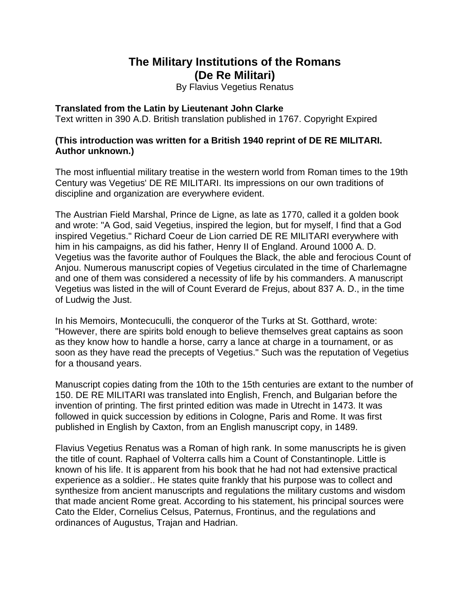# **The Military Institutions of the Romans (De Re Militari)**

By Flavius Vegetius Renatus

#### **Translated from the Latin by Lieutenant John Clarke**

Text written in 390 A.D. British translation published in 1767. Copyright Expired

#### **(This introduction was written for a British 1940 reprint of DE RE MILITARI. Author unknown.)**

The most influential military treatise in the western world from Roman times to the 19th Century was Vegetius' DE RE MILITARI. Its impressions on our own traditions of discipline and organization are everywhere evident.

The Austrian Field Marshal, Prince de Ligne, as late as 1770, called it a golden book and wrote: "A God, said Vegetius, inspired the legion, but for myself, I find that a God inspired Vegetius." Richard Coeur de Lion carried DE RE MILITARI everywhere with him in his campaigns, as did his father, Henry II of England. Around 1000 A. D. Vegetius was the favorite author of Foulques the Black, the able and ferocious Count of Anjou. Numerous manuscript copies of Vegetius circulated in the time of Charlemagne and one of them was considered a necessity of life by his commanders. A manuscript Vegetius was listed in the will of Count Everard de Frejus, about 837 A. D., in the time of Ludwig the Just.

In his Memoirs, Montecuculli, the conqueror of the Turks at St. Gotthard, wrote: "However, there are spirits bold enough to believe themselves great captains as soon as they know how to handle a horse, carry a lance at charge in a tournament, or as soon as they have read the precepts of Vegetius." Such was the reputation of Vegetius for a thousand years.

Manuscript copies dating from the 10th to the 15th centuries are extant to the number of 150. DE RE MILITARI was translated into English, French, and Bulgarian before the invention of printing. The first printed edition was made in Utrecht in 1473. It was followed in quick succession by editions in Cologne, Paris and Rome. It was first published in English by Caxton, from an English manuscript copy, in 1489.

Flavius Vegetius Renatus was a Roman of high rank. In some manuscripts he is given the title of count. Raphael of Volterra calls him a Count of Constantinople. Little is known of his life. It is apparent from his book that he had not had extensive practical experience as a soldier.. He states quite frankly that his purpose was to collect and synthesize from ancient manuscripts and regulations the military customs and wisdom that made ancient Rome great. According to his statement, his principal sources were Cato the Elder, Cornelius Celsus, Paternus, Frontinus, and the regulations and ordinances of Augustus, Trajan and Hadrian.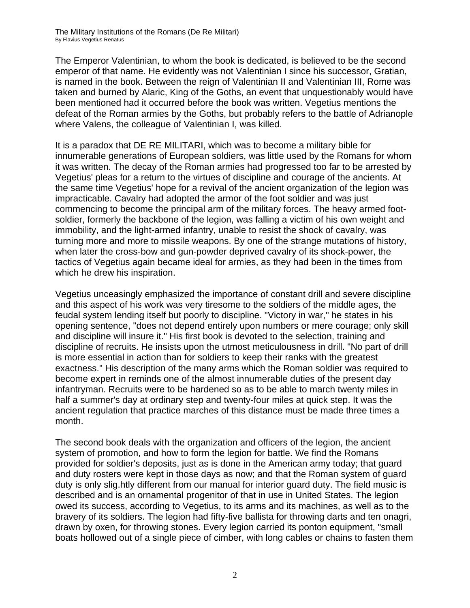The Military Institutions of the Romans (De Re Militari) By Flavius Vegetius Renatus

The Emperor Valentinian, to whom the book is dedicated, is believed to be the second emperor of that name. He evidently was not Valentinian I since his successor, Gratian, is named in the book. Between the reign of Valentinian II and Valentinian III, Rome was taken and burned by Alaric, King of the Goths, an event that unquestionably would have been mentioned had it occurred before the book was written. Vegetius mentions the defeat of the Roman armies by the Goths, but probably refers to the battle of Adrianople where Valens, the colleague of Valentinian I, was killed.

It is a paradox that DE RE MILITARI, which was to become a military bible for innumerable generations of European soldiers, was little used by the Romans for whom it was written. The decay of the Roman armies had progressed too far to be arrested by Vegetius' pleas for a return to the virtues of discipline and courage of the ancients. At the same time Vegetius' hope for a revival of the ancient organization of the legion was impracticable. Cavalry had adopted the armor of the foot soldier and was just commencing to become the principal arm of the military forces. The heavy armed footsoldier, formerly the backbone of the legion, was falling a victim of his own weight and immobility, and the light-armed infantry, unable to resist the shock of cavalry, was turning more and more to missile weapons. By one of the strange mutations of history, when later the cross-bow and gun-powder deprived cavalry of its shock-power, the tactics of Vegetius again became ideal for armies, as they had been in the times from which he drew his inspiration.

Vegetius unceasingly emphasized the importance of constant drill and severe discipline and this aspect of his work was very tiresome to the soldiers of the middle ages, the feudal system lending itself but poorly to discipline. "Victory in war," he states in his opening sentence, "does not depend entirely upon numbers or mere courage; only skill and discipline will insure it." His first book is devoted to the selection, training and discipline of recruits. He insists upon the utmost meticulousness in drill. "No part of drill is more essential in action than for soldiers to keep their ranks with the greatest exactness." His description of the many arms which the Roman soldier was required to become expert in reminds one of the almost innumerable duties of the present day infantryman. Recruits were to be hardened so as to be able to march twenty miles in half a summer's day at ordinary step and twenty-four miles at quick step. It was the ancient regulation that practice marches of this distance must be made three times a month.

The second book deals with the organization and officers of the legion, the ancient system of promotion, and how to form the legion for battle. We find the Romans provided for soldier's deposits, just as is done in the American army today; that guard and duty rosters were kept in those days as now; and that the Roman system of guard duty is only slig.htly different from our manual for interior guard duty. The field music is described and is an ornamental progenitor of that in use in United States. The legion owed its success, according to Vegetius, to its arms and its machines, as well as to the bravery of its soldiers. The legion had fifty-five ballista for throwing darts and ten onagri, drawn by oxen, for throwing stones. Every legion carried its ponton equipment, "small boats hollowed out of a single piece of cimber, with long cables or chains to fasten them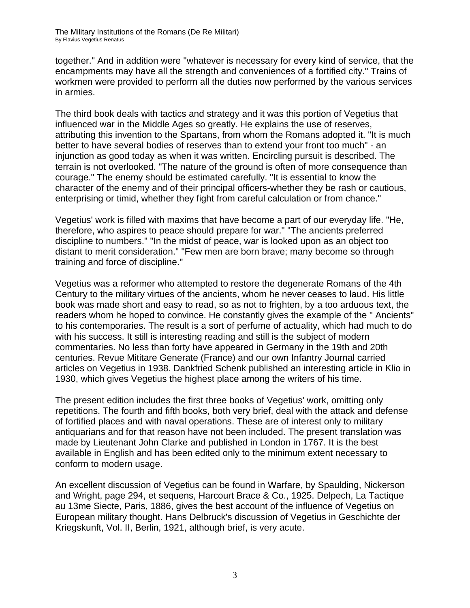together." And in addition were "whatever is necessary for every kind of service, that the encampments may have all the strength and conveniences of a fortified city." Trains of workmen were provided to perform all the duties now performed by the various services in armies.

The third book deals with tactics and strategy and it was this portion of Vegetius that influenced war in the Middle Ages so greatly. He explains the use of reserves, attributing this invention to the Spartans, from whom the Romans adopted it. "It is much better to have several bodies of reserves than to extend your front too much" - an injunction as good today as when it was written. Encircling pursuit is described. The terrain is not overlooked. "The nature of the ground is often of more consequence than courage." The enemy should be estimated carefully. "It is essential to know the character of the enemy and of their principal officers-whether they be rash or cautious, enterprising or timid, whether they fight from careful calculation or from chance."

Vegetius' work is filled with maxims that have become a part of our everyday life. "He, therefore, who aspires to peace should prepare for war." "The ancients preferred discipline to numbers." "In the midst of peace, war is looked upon as an object too distant to merit consideration." "Few men are born brave; many become so through training and force of discipline."

Vegetius was a reformer who attempted to restore the degenerate Romans of the 4th Century to the military virtues of the ancients, whom he never ceases to laud. His little book was made short and easy to read, so as not to frighten, by a too arduous text, the readers whom he hoped to convince. He constantly gives the example of the " Ancients" to his contemporaries. The result is a sort of perfume of actuality, which had much to do with his success. It still is interesting reading and still is the subject of modern commentaries. No less than forty have appeared in Germany in the 19th and 20th centuries. Revue Mititare Generate (France) and our own Infantry Journal carried articles on Vegetius in 1938. Dankfried Schenk published an interesting article in Klio in 1930, which gives Vegetius the highest place among the writers of his time.

The present edition includes the first three books of Vegetius' work, omitting only repetitions. The fourth and fifth books, both very brief, deal with the attack and defense of fortified places and with naval operations. These are of interest only to military antiquarians and for that reason have not been included. The present translation was made by Lieutenant John Clarke and published in London in 1767. It is the best available in English and has been edited only to the minimum extent necessary to conform to modern usage.

An excellent discussion of Vegetius can be found in Warfare, by Spaulding, Nickerson and Wright, page 294, et sequens, Harcourt Brace & Co., 1925. Delpech, La Tactique au 13me Siecte, Paris, 1886, gives the best account of the influence of Vegetius on European military thought. Hans Delbruck's discussion of Vegetius in Geschichte der Kriegskunft, Vol. II, Berlin, 1921, although brief, is very acute.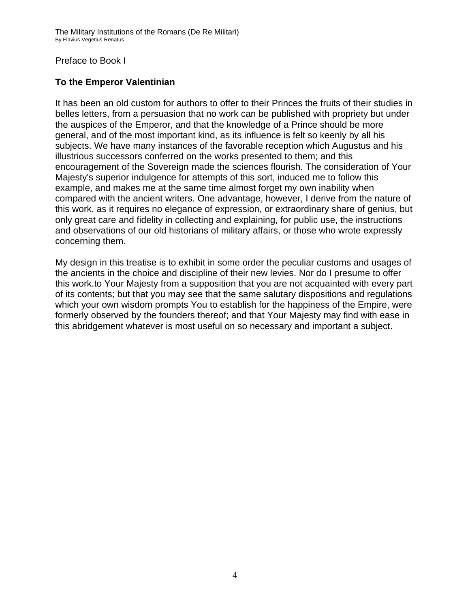#### Preface to Book I

#### **To the Emperor Valentinian**

It has been an old custom for authors to offer to their Princes the fruits of their studies in belles letters, from a persuasion that no work can be published with propriety but under the auspices of the Emperor, and that the knowledge of a Prince should be more general, and of the most important kind, as its influence is felt so keenly by all his subjects. We have many instances of the favorable reception which Augustus and his illustrious successors conferred on the works presented to them; and this encouragement of the Sovereign made the sciences flourish. The consideration of Your Majesty's superior indulgence for attempts of this sort, induced me to follow this example, and makes me at the same time almost forget my own inability when compared with the ancient writers. One advantage, however, I derive from the nature of this work, as it requires no elegance of expression, or extraordinary share of genius, but only great care and fidelity in collecting and explaining, for public use, the instructions and observations of our old historians of military affairs, or those who wrote expressly concerning them.

My design in this treatise is to exhibit in some order the peculiar customs and usages of the ancients in the choice and discipline of their new levies. Nor do I presume to offer this work.to Your Majesty from a supposition that you are not acquainted with every part of its contents; but that you may see that the same salutary dispositions and regulations which your own wisdom prompts You to establish for the happiness of the Empire, were formerly observed by the founders thereof; and that Your Majesty may find with ease in this abridgement whatever is most useful on so necessary and important a subject.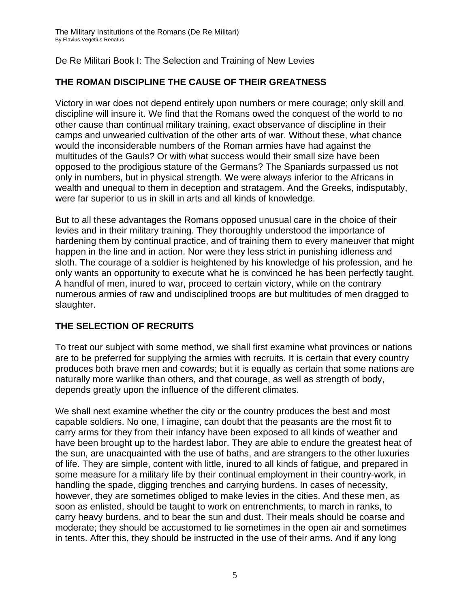#### De Re Militari Book I: The Selection and Training of New Levies

# **THE ROMAN DISCIPLINE THE CAUSE OF THEIR GREATNESS**

Victory in war does not depend entirely upon numbers or mere courage; only skill and discipline will insure it. We find that the Romans owed the conquest of the world to no other cause than continual military training, exact observance of discipline in their camps and unwearied cultivation of the other arts of war. Without these, what chance would the inconsiderable numbers of the Roman armies have had against the multitudes of the Gauls? Or with what success would their small size have been opposed to the prodigious stature of the Germans? The Spaniards surpassed us not only in numbers, but in physical strength. We were always inferior to the Africans in wealth and unequal to them in deception and stratagem. And the Greeks, indisputably, were far superior to us in skill in arts and all kinds of knowledge.

But to all these advantages the Romans opposed unusual care in the choice of their levies and in their military training. They thoroughly understood the importance of hardening them by continual practice, and of training them to every maneuver that might happen in the line and in action. Nor were they less strict in punishing idleness and sloth. The courage of a soldier is heightened by his knowledge of his profession, and he only wants an opportunity to execute what he is convinced he has been perfectly taught. A handful of men, inured to war, proceed to certain victory, while on the contrary numerous armies of raw and undisciplined troops are but multitudes of men dragged to slaughter.

# **THE SELECTION OF RECRUITS**

To treat our subject with some method, we shall first examine what provinces or nations are to be preferred for supplying the armies with recruits. It is certain that every country produces both brave men and cowards; but it is equally as certain that some nations are naturally more warlike than others, and that courage, as well as strength of body, depends greatly upon the influence of the different climates.

We shall next examine whether the city or the country produces the best and most capable soldiers. No one, I imagine, can doubt that the peasants are the most fit to carry arms for they from their infancy have been exposed to all kinds of weather and have been brought up to the hardest labor. They are able to endure the greatest heat of the sun, are unacquainted with the use of baths, and are strangers to the other luxuries of life. They are simple, content with little, inured to all kinds of fatigue, and prepared in some measure for a military life by their continual employment in their country-work, in handling the spade, digging trenches and carrying burdens. In cases of necessity, however, they are sometimes obliged to make levies in the cities. And these men, as soon as enlisted, should be taught to work on entrenchments, to march in ranks, to carry heavy burdens, and to bear the sun and dust. Their meals should be coarse and moderate; they should be accustomed to lie sometimes in the open air and sometimes in tents. After this, they should be instructed in the use of their arms. And if any long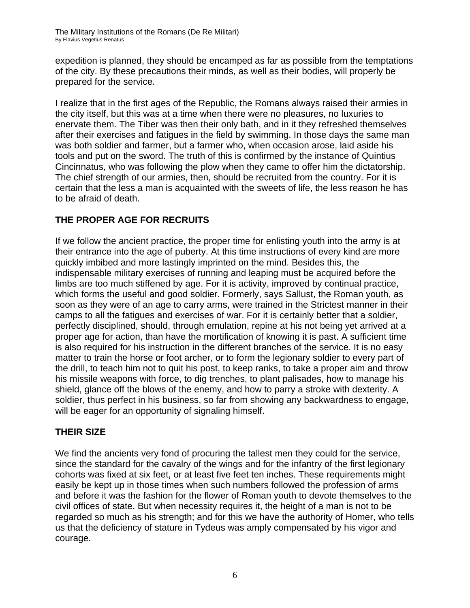expedition is planned, they should be encamped as far as possible from the temptations of the city. By these precautions their minds, as well as their bodies, will properly be prepared for the service.

I realize that in the first ages of the Republic, the Romans always raised their armies in the city itself, but this was at a time when there were no pleasures, no luxuries to enervate them. The Tiber was then their only bath, and in it they refreshed themselves after their exercises and fatigues in the field by swimming. In those days the same man was both soldier and farmer, but a farmer who, when occasion arose, laid aside his tools and put on the sword. The truth of this is confirmed by the instance of Quintius Cincinnatus, who was following the plow when they came to offer him the dictatorship. The chief strength of our armies, then, should be recruited from the country. For it is certain that the less a man is acquainted with the sweets of life, the less reason he has to be afraid of death.

# **THE PROPER AGE FOR RECRUITS**

If we follow the ancient practice, the proper time for enlisting youth into the army is at their entrance into the age of puberty. At this time instructions of every kind are more quickly imbibed and more lastingly imprinted on the mind. Besides this, the indispensable military exercises of running and leaping must be acquired before the limbs are too much stiffened by age. For it is activity, improved by continual practice, which forms the useful and good soldier. Formerly, says Sallust, the Roman youth, as soon as they were of an age to carry arms, were trained in the Strictest manner in their camps to all the fatigues and exercises of war. For it is certainly better that a soldier, perfectly disciplined, should, through emulation, repine at his not being yet arrived at a proper age for action, than have the mortification of knowing it is past. A sufficient time is also required for his instruction in the different branches of the service. It is no easy matter to train the horse or foot archer, or to form the legionary soldier to every part of the drill, to teach him not to quit his post, to keep ranks, to take a proper aim and throw his missile weapons with force, to dig trenches, to plant palisades, how to manage his shield, glance off the blows of the enemy, and how to parry a stroke with dexterity. A soldier, thus perfect in his business, so far from showing any backwardness to engage, will be eager for an opportunity of signaling himself.

# **THEIR SIZE**

We find the ancients very fond of procuring the tallest men they could for the service, since the standard for the cavalry of the wings and for the infantry of the first legionary cohorts was fixed at six feet, or at least five feet ten inches. These requirements might easily be kept up in those times when such numbers followed the profession of arms and before it was the fashion for the flower of Roman youth to devote themselves to the civil offices of state. But when necessity requires it, the height of a man is not to be regarded so much as his strength; and for this we have the authority of Homer, who tells us that the deficiency of stature in Tydeus was amply compensated by his vigor and courage.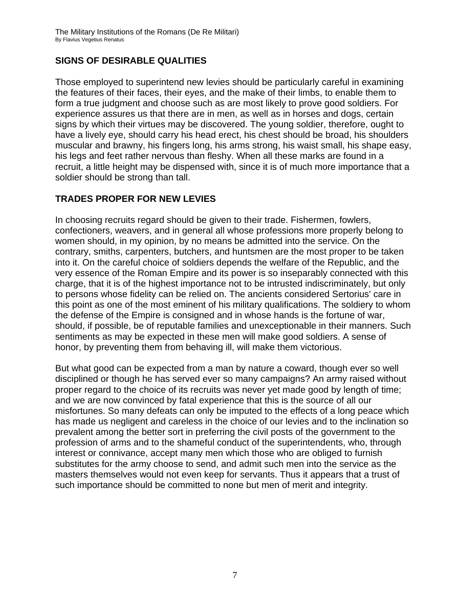#### **SIGNS OF DESIRABLE QUALITIES**

Those employed to superintend new levies should be particularly careful in examining the features of their faces, their eyes, and the make of their limbs, to enable them to form a true judgment and choose such as are most likely to prove good soldiers. For experience assures us that there are in men, as well as in horses and dogs, certain signs by which their virtues may be discovered. The young soldier, therefore, ought to have a lively eye, should carry his head erect, his chest should be broad, his shoulders muscular and brawny, his fingers long, his arms strong, his waist small, his shape easy, his legs and feet rather nervous than fleshy. When all these marks are found in a recruit, a little height may be dispensed with, since it is of much more importance that a soldier should be strong than tall.

# **TRADES PROPER FOR NEW LEVIES**

In choosing recruits regard should be given to their trade. Fishermen, fowlers, confectioners, weavers, and in general all whose professions more properly belong to women should, in my opinion, by no means be admitted into the service. On the contrary, smiths, carpenters, butchers, and huntsmen are the most proper to be taken into it. On the careful choice of soldiers depends the welfare of the Republic, and the very essence of the Roman Empire and its power is so inseparably connected with this charge, that it is of the highest importance not to be intrusted indiscriminately, but only to persons whose fidelity can be relied on. The ancients considered Sertorius' care in this point as one of the most eminent of his military qualifications. The soldiery to whom the defense of the Empire is consigned and in whose hands is the fortune of war, should, if possible, be of reputable families and unexceptionable in their manners. Such sentiments as may be expected in these men will make good soldiers. A sense of honor, by preventing them from behaving ill, will make them victorious.

But what good can be expected from a man by nature a coward, though ever so well disciplined or though he has served ever so many campaigns? An army raised without proper regard to the choice of its recruits was never yet made good by length of time; and we are now convinced by fatal experience that this is the source of all our misfortunes. So many defeats can only be imputed to the effects of a long peace which has made us negligent and careless in the choice of our levies and to the inclination so prevalent among the better sort in preferring the civil posts of the government to the profession of arms and to the shameful conduct of the superintendents, who, through interest or connivance, accept many men which those who are obliged to furnish substitutes for the army choose to send, and admit such men into the service as the masters themselves would not even keep for servants. Thus it appears that a trust of such importance should be committed to none but men of merit and integrity.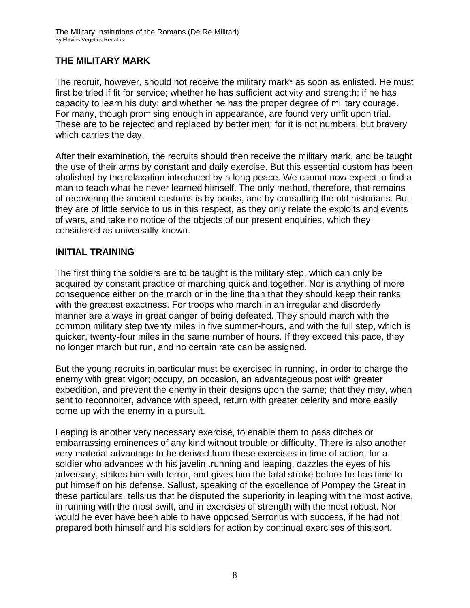# **THE MILITARY MARK**

The recruit, however, should not receive the military mark\* as soon as enlisted. He must first be tried if fit for service; whether he has sufficient activity and strength; if he has capacity to learn his duty; and whether he has the proper degree of military courage. For many, though promising enough in appearance, are found very unfit upon trial. These are to be rejected and replaced by better men; for it is not numbers, but bravery which carries the day.

After their examination, the recruits should then receive the military mark, and be taught the use of their arms by constant and daily exercise. But this essential custom has been abolished by the relaxation introduced by a long peace. We cannot now expect to find a man to teach what he never learned himself. The only method, therefore, that remains of recovering the ancient customs is by books, and by consulting the old historians. But they are of little service to us in this respect, as they only relate the exploits and events of wars, and take no notice of the objects of our present enquiries, which they considered as universally known.

#### **INITIAL TRAINING**

The first thing the soldiers are to be taught is the military step, which can only be acquired by constant practice of marching quick and together. Nor is anything of more consequence either on the march or in the line than that they should keep their ranks with the greatest exactness. For troops who march in an irregular and disorderly manner are always in great danger of being defeated. They should march with the common military step twenty miles in five summer-hours, and with the full step, which is quicker, twenty-four miles in the same number of hours. If they exceed this pace, they no longer march but run, and no certain rate can be assigned.

But the young recruits in particular must be exercised in running, in order to charge the enemy with great vigor; occupy, on occasion, an advantageous post with greater expedition, and prevent the enemy in their designs upon the same; that they may, when sent to reconnoiter, advance with speed, return with greater celerity and more easily come up with the enemy in a pursuit.

Leaping is another very necessary exercise, to enable them to pass ditches or embarrassing eminences of any kind without trouble or difficulty. There is also another very material advantage to be derived from these exercises in time of action; for a soldier who advances with his javelin,.running and leaping, dazzles the eyes of his adversary, strikes him with terror, and gives him the fatal stroke before he has time to put himself on his defense. Sallust, speaking of the excellence of Pompey the Great in these particulars, tells us that he disputed the superiority in leaping with the most active, in running with the most swift, and in exercises of strength with the most robust. Nor would he ever have been able to have opposed Serrorius with success, if he had not prepared both himself and his soldiers for action by continual exercises of this sort.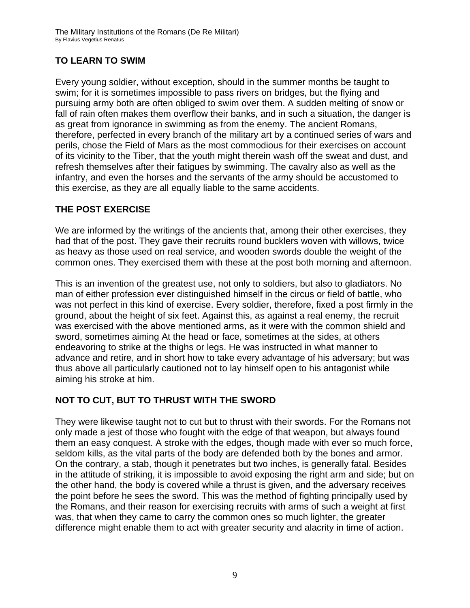# **TO LEARN TO SWIM**

Every young soldier, without exception, should in the summer months be taught to swim; for it is sometimes impossible to pass rivers on bridges, but the flying and pursuing army both are often obliged to swim over them. A sudden melting of snow or fall of rain often makes them overflow their banks, and in such a situation, the danger is as great from ignorance in swimming as from the enemy. The ancient Romans, therefore, perfected in every branch of the military art by a continued series of wars and perils, chose the Field of Mars as the most commodious for their exercises on account of its vicinity to the Tiber, that the youth might therein wash off the sweat and dust, and refresh themselves after their fatigues by swimming. The cavalry also as well as the infantry, and even the horses and the servants of the army should be accustomed to this exercise, as they are all equally liable to the same accidents.

#### **THE POST EXERCISE**

We are informed by the writings of the ancients that, among their other exercises, they had that of the post. They gave their recruits round bucklers woven with willows, twice as heavy as those used on real service, and wooden swords double the weight of the common ones. They exercised them with these at the post both morning and afternoon.

This is an invention of the greatest use, not only to soldiers, but also to gladiators. No man of either profession ever distinguished himself in the circus or field of battle, who was not perfect in this kind of exercise. Every soldier, therefore, fixed a post firmly in the ground, about the height of six feet. Against this, as against a real enemy, the recruit was exercised with the above mentioned arms, as it were with the common shield and sword, sometimes aiming At the head or face, sometimes at the sides, at others endeavoring to strike at the thighs or legs. He was instructed in what manner to advance and retire, and in short how to take every advantage of his adversary; but was thus above all particularly cautioned not to lay himself open to his antagonist while aiming his stroke at him.

# **NOT TO CUT, BUT TO THRUST WITH THE SWORD**

They were likewise taught not to cut but to thrust with their swords. For the Romans not only made a jest of those who fought with the edge of that weapon, but always found them an easy conquest. A stroke with the edges, though made with ever so much force, seldom kills, as the vital parts of the body are defended both by the bones and armor. On the contrary, a stab, though it penetrates but two inches, is generally fatal. Besides in the attitude of striking, it is impossible to avoid exposing the right arm and side; but on the other hand, the body is covered while a thrust is given, and the adversary receives the point before he sees the sword. This was the method of fighting principally used by the Romans, and their reason for exercising recruits with arms of such a weight at first was, that when they came to carry the common ones so much lighter, the greater difference might enable them to act with greater security and alacrity in time of action.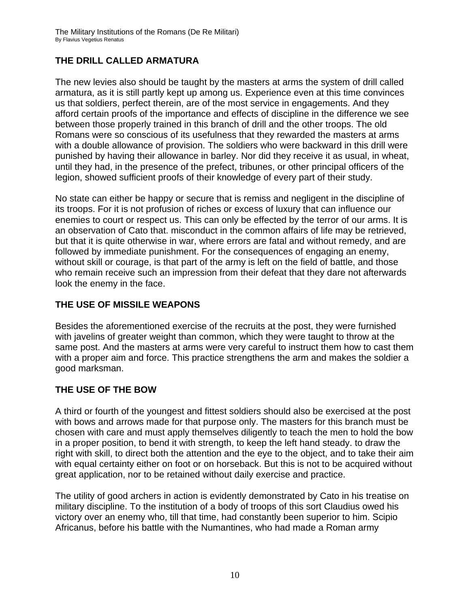# **THE DRILL CALLED ARMATURA**

The new levies also should be taught by the masters at arms the system of drill called armatura, as it is still partly kept up among us. Experience even at this time convinces us that soldiers, perfect therein, are of the most service in engagements. And they afford certain proofs of the importance and effects of discipline in the difference we see between those properly trained in this branch of drill and the other troops. The old Romans were so conscious of its usefulness that they rewarded the masters at arms with a double allowance of provision. The soldiers who were backward in this drill were punished by having their allowance in barley. Nor did they receive it as usual, in wheat, until they had, in the presence of the prefect, tribunes, or other principal officers of the legion, showed sufficient proofs of their knowledge of every part of their study.

No state can either be happy or secure that is remiss and negligent in the discipline of its troops. For it is not profusion of riches or excess of luxury that can influence our enemies to court or respect us. This can only be effected by the terror of our arms. It is an observation of Cato that. misconduct in the common affairs of life may be retrieved, but that it is quite otherwise in war, where errors are fatal and without remedy, and are followed by immediate punishment. For the consequences of engaging an enemy, without skill or courage, is that part of the army is left on the field of battle, and those who remain receive such an impression from their defeat that they dare not afterwards look the enemy in the face.

# **THE USE OF MISSILE WEAPONS**

Besides the aforementioned exercise of the recruits at the post, they were furnished with javelins of greater weight than common, which they were taught to throw at the same post. And the masters at arms were very careful to instruct them how to cast them with a proper aim and force. This practice strengthens the arm and makes the soldier a good marksman.

# **THE USE OF THE BOW**

A third or fourth of the youngest and fittest soldiers should also be exercised at the post with bows and arrows made for that purpose only. The masters for this branch must be chosen with care and must apply themselves diligently to teach the men to hold the bow in a proper position, to bend it with strength, to keep the left hand steady. to draw the right with skill, to direct both the attention and the eye to the object, and to take their aim with equal certainty either on foot or on horseback. But this is not to be acquired without great application, nor to be retained without daily exercise and practice.

The utility of good archers in action is evidently demonstrated by Cato in his treatise on military discipline. To the institution of a body of troops of this sort Claudius owed his victory over an enemy who, till that time, had constantly been superior to him. Scipio Africanus, before his battle with the Numantines, who had made a Roman army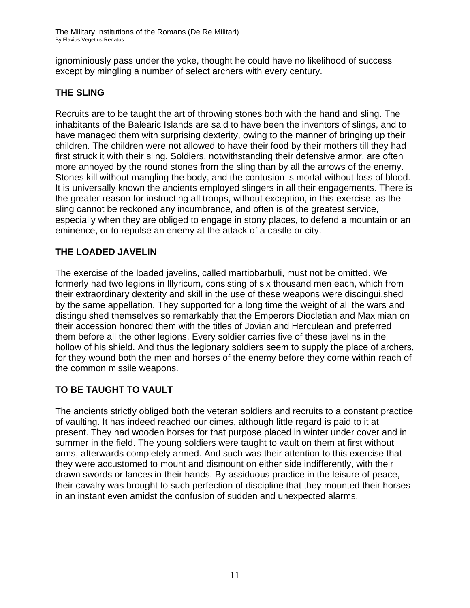ignominiously pass under the yoke, thought he could have no likelihood of success except by mingling a number of select archers with every century.

# **THE SLING**

Recruits are to be taught the art of throwing stones both with the hand and sling. The inhabitants of the Balearic Islands are said to have been the inventors of slings, and to have managed them with surprising dexterity, owing to the manner of bringing up their children. The children were not allowed to have their food by their mothers till they had first struck it with their sling. Soldiers, notwithstanding their defensive armor, are often more annoyed by the round stones from the sling than by all the arrows of the enemy. Stones kill without mangling the body, and the contusion is mortal without loss of blood. It is universally known the ancients employed slingers in all their engagements. There is the greater reason for instructing all troops, without exception, in this exercise, as the sling cannot be reckoned any incumbrance, and often is of the greatest service, especially when they are obliged to engage in stony places, to defend a mountain or an eminence, or to repulse an enemy at the attack of a castle or city.

# **THE LOADED JAVELIN**

The exercise of the loaded javelins, called martiobarbuli, must not be omitted. We formerly had two legions in lllyricum, consisting of six thousand men each, which from their extraordinary dexterity and skill in the use of these weapons were discingui.shed by the same appellation. They supported for a long time the weight of all the wars and distinguished themselves so remarkably that the Emperors Diocletian and Maximian on their accession honored them with the titles of Jovian and Herculean and preferred them before all the other legions. Every soldier carries five of these javelins in the hollow of his shield. And thus the legionary soldiers seem to supply the place of archers, for they wound both the men and horses of the enemy before they come within reach of the common missile weapons.

# **TO BE TAUGHT TO VAULT**

The ancients strictly obliged both the veteran soldiers and recruits to a constant practice of vaulting. It has indeed reached our cimes, although little regard is paid to it at present. They had wooden horses for that purpose placed in winter under cover and in summer in the field. The young soldiers were taught to vault on them at first without arms, afterwards completely armed. And such was their attention to this exercise that they were accustomed to mount and dismount on either side indifferently, with their drawn swords or lances in their hands. By assiduous practice in the leisure of peace, their cavalry was brought to such perfection of discipline that they mounted their horses in an instant even amidst the confusion of sudden and unexpected alarms.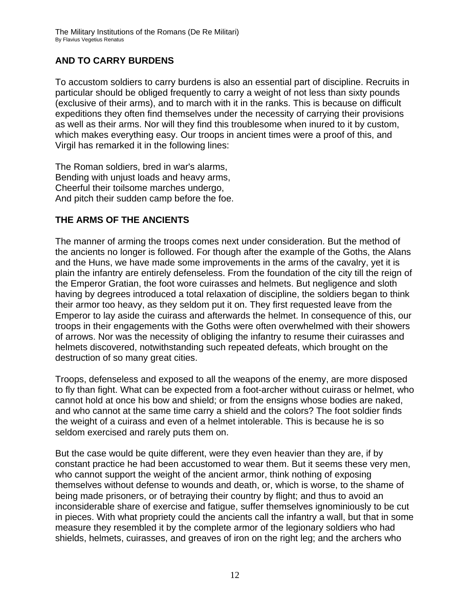# **AND TO CARRY BURDENS**

To accustom soldiers to carry burdens is also an essential part of discipline. Recruits in particular should be obliged frequently to carry a weight of not less than sixty pounds (exclusive of their arms), and to march with it in the ranks. This is because on difficult expeditions they often find themselves under the necessity of carrying their provisions as well as their arms. Nor will they find this troublesome when inured to it by custom, which makes everything easy. Our troops in ancient times were a proof of this, and Virgil has remarked it in the following lines:

The Roman soldiers, bred in war's alarms, Bending with unjust loads and heavy arms, Cheerful their toilsome marches undergo, And pitch their sudden camp before the foe.

#### **THE ARMS OF THE ANCIENTS**

The manner of arming the troops comes next under consideration. But the method of the ancients no longer is followed. For though after the example of the Goths, the Alans and the Huns, we have made some improvements in the arms of the cavalry, yet it is plain the infantry are entirely defenseless. From the foundation of the city till the reign of the Emperor Gratian, the foot wore cuirasses and helmets. But negligence and sloth having by degrees introduced a total relaxation of discipline, the soldiers began to think their armor too heavy, as they seldom put it on. They first requested leave from the Emperor to lay aside the cuirass and afterwards the helmet. In consequence of this, our troops in their engagements with the Goths were often overwhelmed with their showers of arrows. Nor was the necessity of obliging the infantry to resume their cuirasses and helmets discovered, notwithstanding such repeated defeats, which brought on the destruction of so many great cities.

Troops, defenseless and exposed to all the weapons of the enemy, are more disposed to fly than fight. What can be expected from a foot-archer without cuirass or helmet, who cannot hold at once his bow and shield; or from the ensigns whose bodies are naked, and who cannot at the same time carry a shield and the colors? The foot soldier finds the weight of a cuirass and even of a helmet intolerable. This is because he is so seldom exercised and rarely puts them on.

But the case would be quite different, were they even heavier than they are, if by constant practice he had been accustomed to wear them. But it seems these very men, who cannot support the weight of the ancient armor, think nothing of exposing themselves without defense to wounds and death, or, which is worse, to the shame of being made prisoners, or of betraying their country by flight; and thus to avoid an inconsiderable share of exercise and fatigue, suffer themselves ignominiously to be cut in pieces. With what propriety could the ancients call the infantry a wall, but that in some measure they resembled it by the complete armor of the legionary soldiers who had shields, helmets, cuirasses, and greaves of iron on the right leg; and the archers who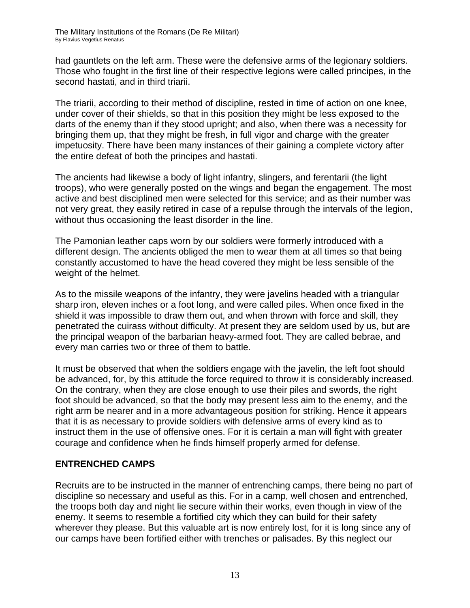had gauntlets on the left arm. These were the defensive arms of the legionary soldiers. Those who fought in the first line of their respective legions were called principes, in the second hastati, and in third triarii.

The triarii, according to their method of discipline, rested in time of action on one knee, under cover of their shields, so that in this position they might be less exposed to the darts of the enemy than if they stood upright; and also, when there was a necessity for bringing them up, that they might be fresh, in full vigor and charge with the greater impetuosity. There have been many instances of their gaining a complete victory after the entire defeat of both the principes and hastati.

The ancients had likewise a body of light infantry, slingers, and ferentarii (the light troops), who were generally posted on the wings and began the engagement. The most active and best disciplined men were selected for this service; and as their number was not very great, they easily retired in case of a repulse through the intervals of the legion, without thus occasioning the least disorder in the line.

The Pamonian leather caps worn by our soldiers were formerly introduced with a different design. The ancients obliged the men to wear them at all times so that being constantly accustomed to have the head covered they might be less sensible of the weight of the helmet.

As to the missile weapons of the infantry, they were javelins headed with a triangular sharp iron, eleven inches or a foot long, and were called piles. When once fixed in the shield it was impossible to draw them out, and when thrown with force and skill, they penetrated the cuirass without difficulty. At present they are seldom used by us, but are the principal weapon of the barbarian heavy-armed foot. They are called bebrae, and every man carries two or three of them to battle.

It must be observed that when the soldiers engage with the javelin, the left foot should be advanced, for, by this attitude the force required to throw it is considerably increased. On the contrary, when they are close enough to use their piles and swords, the right foot should be advanced, so that the body may present less aim to the enemy, and the right arm be nearer and in a more advantageous position for striking. Hence it appears that it is as necessary to provide soldiers with defensive arms of every kind as to instruct them in the use of offensive ones. For it is certain a man will fight with greater courage and confidence when he finds himself properly armed for defense.

#### **ENTRENCHED CAMPS**

Recruits are to be instructed in the manner of entrenching camps, there being no part of discipline so necessary and useful as this. For in a camp, well chosen and entrenched, the troops both day and night lie secure within their works, even though in view of the enemy. It seems to resemble a fortified city which they can build for their safety wherever they please. But this valuable art is now entirely lost, for it is long since any of our camps have been fortified either with trenches or palisades. By this neglect our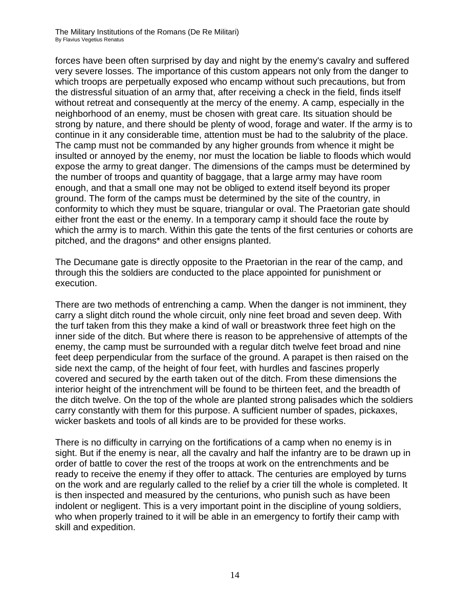The Military Institutions of the Romans (De Re Militari) By Flavius Vegetius Renatus

forces have been often surprised by day and night by the enemy's cavalry and suffered very severe losses. The importance of this custom appears not only from the danger to which troops are perpetually exposed who encamp without such precautions, but from the distressful situation of an army that, after receiving a check in the field, finds itself without retreat and consequently at the mercy of the enemy. A camp, especially in the neighborhood of an enemy, must be chosen with great care. Its situation should be strong by nature, and there should be plenty of wood, forage and water. If the army is to continue in it any considerable time, attention must be had to the salubrity of the place. The camp must not be commanded by any higher grounds from whence it might be insulted or annoyed by the enemy, nor must the location be liable to floods which would expose the army to great danger. The dimensions of the camps must be determined by the number of troops and quantity of baggage, that a large army may have room enough, and that a small one may not be obliged to extend itself beyond its proper ground. The form of the camps must be determined by the site of the country, in conformity to which they must be square, triangular or oval. The Praetorian gate should either front the east or the enemy. In a temporary camp it should face the route by which the army is to march. Within this gate the tents of the first centuries or cohorts are pitched, and the dragons\* and other ensigns planted.

The Decumane gate is directly opposite to the Praetorian in the rear of the camp, and through this the soldiers are conducted to the place appointed for punishment or execution.

There are two methods of entrenching a camp. When the danger is not imminent, they carry a slight ditch round the whole circuit, only nine feet broad and seven deep. With the turf taken from this they make a kind of wall or breastwork three feet high on the inner side of the ditch. But where there is reason to be apprehensive of attempts of the enemy, the camp must be surrounded with a regular ditch twelve feet broad and nine feet deep perpendicular from the surface of the ground. A parapet is then raised on the side next the camp, of the height of four feet, with hurdles and fascines properly covered and secured by the earth taken out of the ditch. From these dimensions the interior height of the intrenchment will be found to be thirteen feet, and the breadth of the ditch twelve. On the top of the whole are planted strong palisades which the soldiers carry constantly with them for this purpose. A sufficient number of spades, pickaxes, wicker baskets and tools of all kinds are to be provided for these works.

There is no difficulty in carrying on the fortifications of a camp when no enemy is in sight. But if the enemy is near, all the cavalry and half the infantry are to be drawn up in order of battle to cover the rest of the troops at work on the entrenchments and be ready to receive the enemy if they offer to attack. The centuries are employed by turns on the work and are regularly called to the relief by a crier till the whole is completed. It is then inspected and measured by the centurions, who punish such as have been indolent or negligent. This is a very important point in the discipline of young soldiers, who when properly trained to it will be able in an emergency to fortify their camp with skill and expedition.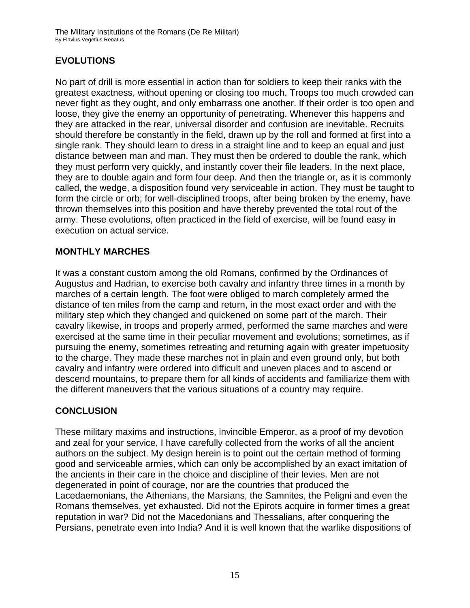The Military Institutions of the Romans (De Re Militari) By Flavius Vegetius Renatus

# **EVOLUTIONS**

No part of drill is more essential in action than for soldiers to keep their ranks with the greatest exactness, without opening or closing too much. Troops too much crowded can never fight as they ought, and only embarrass one another. If their order is too open and loose, they give the enemy an opportunity of penetrating. Whenever this happens and they are attacked in the rear, universal disorder and confusion are inevitable. Recruits should therefore be constantly in the field, drawn up by the roll and formed at first into a single rank. They should learn to dress in a straight line and to keep an equal and just distance between man and man. They must then be ordered to double the rank, which they must perform very quickly, and instantly cover their file leaders. In the next place, they are to double again and form four deep. And then the triangle or, as it is commonly called, the wedge, a disposition found very serviceable in action. They must be taught to form the circle or orb; for well-disciplined troops, after being broken by the enemy, have thrown themselves into this position and have thereby prevented the total rout of the army. These evolutions, often practiced in the field of exercise, will be found easy in execution on actual service.

#### **MONTHLY MARCHES**

It was a constant custom among the old Romans, confirmed by the Ordinances of Augustus and Hadrian, to exercise both cavalry and infantry three times in a month by marches of a certain length. The foot were obliged to march completely armed the distance of ten miles from the camp and return, in the most exact order and with the military step which they changed and quickened on some part of the march. Their cavalry likewise, in troops and properly armed, performed the same marches and were exercised at the same time in their peculiar movement and evolutions; sometimes, as if pursuing the enemy, sometimes retreating and returning again with greater impetuosity to the charge. They made these marches not in plain and even ground only, but both cavalry and infantry were ordered into difficult and uneven places and to ascend or descend mountains, to prepare them for all kinds of accidents and familiarize them with the different maneuvers that the various situations of a country may require.

#### **CONCLUSION**

These military maxims and instructions, invincible Emperor, as a proof of my devotion and zeal for your service, I have carefully collected from the works of all the ancient authors on the subject. My design herein is to point out the certain method of forming good and serviceable armies, which can only be accomplished by an exact imitation of the ancients in their care in the choice and discipline of their levies. Men are not degenerated in point of courage, nor are the countries that produced the Lacedaemonians, the Athenians, the Marsians, the Samnites, the Peligni and even the Romans themselves, yet exhausted. Did not the Epirots acquire in former times a great reputation in war? Did not the Macedonians and Thessalians, after conquering the Persians, penetrate even into India? And it is well known that the warlike dispositions of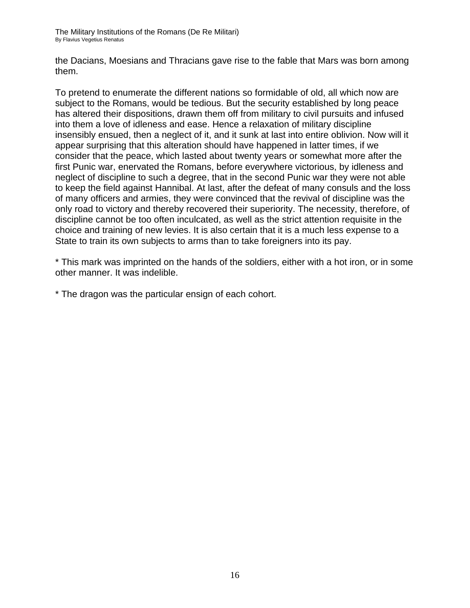the Dacians, Moesians and Thracians gave rise to the fable that Mars was born among them.

To pretend to enumerate the different nations so formidable of old, all which now are subject to the Romans, would be tedious. But the security established by long peace has altered their dispositions, drawn them off from military to civil pursuits and infused into them a love of idleness and ease. Hence a relaxation of military discipline insensibly ensued, then a neglect of it, and it sunk at last into entire oblivion. Now will it appear surprising that this alteration should have happened in latter times, if we consider that the peace, which lasted about twenty years or somewhat more after the first Punic war, enervated the Romans, before everywhere victorious, by idleness and neglect of discipline to such a degree, that in the second Punic war they were not able to keep the field against Hannibal. At last, after the defeat of many consuls and the loss of many officers and armies, they were convinced that the revival of discipline was the only road to victory and thereby recovered their superiority. The necessity, therefore, of discipline cannot be too often inculcated, as well as the strict attention requisite in the choice and training of new levies. It is also certain that it is a much less expense to a State to train its own subjects to arms than to take foreigners into its pay.

\* This mark was imprinted on the hands of the soldiers, either with a hot iron, or in some other manner. It was indelible.

\* The dragon was the particular ensign of each cohort.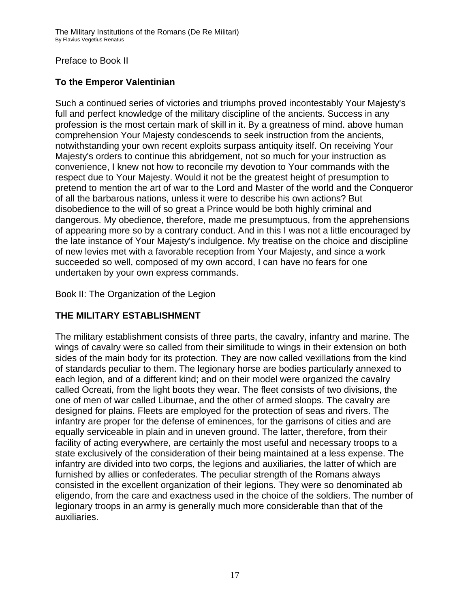#### Preface to Book II

# **To the Emperor Valentinian**

Such a continued series of victories and triumphs proved incontestably Your Majesty's full and perfect knowledge of the military discipline of the ancients. Success in any profession is the most certain mark of skill in it. By a greatness of mind. above human comprehension Your Majesty condescends to seek instruction from the ancients, notwithstanding your own recent exploits surpass antiquity itself. On receiving Your Majesty's orders to continue this abridgement, not so much for your instruction as convenience, I knew not how to reconcile my devotion to Your commands with the respect due to Your Majesty. Would it not be the greatest height of presumption to pretend to mention the art of war to the Lord and Master of the world and the Conqueror of all the barbarous nations, unless it were to describe his own actions? But disobedience to the will of so great a Prince would be both highly criminal and dangerous. My obedience, therefore, made me presumptuous, from the apprehensions of appearing more so by a contrary conduct. And in this I was not a little encouraged by the late instance of Your Majesty's indulgence. My treatise on the choice and discipline of new levies met with a favorable reception from Your Majesty, and since a work succeeded so well, composed of my own accord, I can have no fears for one undertaken by your own express commands.

Book II: The Organization of the Legion

# **THE MILITARY ESTABLISHMENT**

The military establishment consists of three parts, the cavalry, infantry and marine. The wings of cavalry were so called from their similitude to wings in their extension on both sides of the main body for its protection. They are now called vexillations from the kind of standards peculiar to them. The legionary horse are bodies particularly annexed to each legion, and of a different kind; and on their model were organized the cavalry called Ocreati, from the light boots they wear. The fleet consists of two divisions, the one of men of war called Liburnae, and the other of armed sloops. The cavalry are designed for plains. Fleets are employed for the protection of seas and rivers. The infantry are proper for the defense of eminences, for the garrisons of cities and are equally serviceable in plain and in uneven ground. The latter, therefore, from their facility of acting everywhere, are certainly the most useful and necessary troops to a state exclusively of the consideration of their being maintained at a less expense. The infantry are divided into two corps, the legions and auxiliaries, the latter of which are furnished by allies or confederates. The peculiar strength of the Romans always consisted in the excellent organization of their legions. They were so denominated ab eligendo, from the care and exactness used in the choice of the soldiers. The number of legionary troops in an army is generally much more considerable than that of the auxiliaries.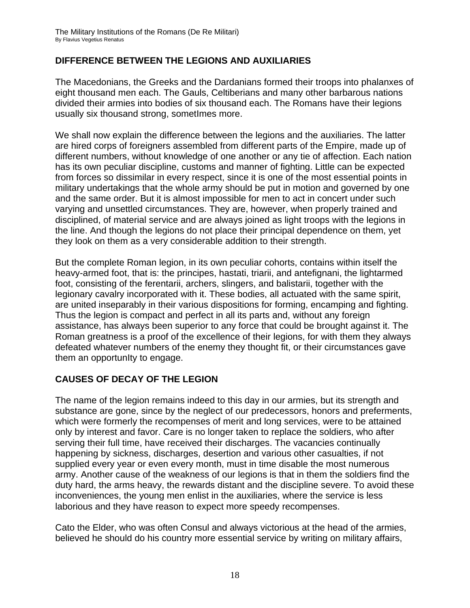#### **DIFFERENCE BETWEEN THE LEGIONS AND AUXILIARIES**

The Macedonians, the Greeks and the Dardanians formed their troops into phalanxes of eight thousand men each. The Gauls, Celtiberians and many other barbarous nations divided their armies into bodies of six thousand each. The Romans have their legions usually six thousand strong, sometImes more.

We shall now explain the difference between the legions and the auxiliaries. The latter are hired corps of foreigners assembled from different parts of the Empire, made up of different numbers, without knowledge of one another or any tie of affection. Each nation has its own peculiar discipline, customs and manner of fighting. Little can be expected from forces so dissimilar in every respect, since it is one of the most essential points in military undertakings that the whole army should be put in motion and governed by one and the same order. But it is almost impossible for men to act in concert under such varying and unsettled circumstances. They are, however, when properly trained and disciplined, of material service and are always joined as light troops with the legions in the line. And though the legions do not place their principal dependence on them, yet they look on them as a very considerable addition to their strength.

But the complete Roman legion, in its own peculiar cohorts, contains within itself the heavy-armed foot, that is: the principes, hastati, triarii, and antefignani, the lightarmed foot, consisting of the ferentarii, archers, slingers, and balistarii, together with the legionary cavalry incorporated with it. These bodies, all actuated with the same spirit, are united inseparably in their various dispositions for forming, encamping and fighting. Thus the legion is compact and perfect in all its parts and, without any foreign assistance, has always been superior to any force that could be brought against it. The Roman greatness is a proof of the excellence of their legions, for with them they always defeated whatever numbers of the enemy they thought fit, or their circumstances gave them an opportunity to engage.

# **CAUSES OF DECAY OF THE LEGION**

The name of the legion remains indeed to this day in our armies, but its strength and substance are gone, since by the neglect of our predecessors, honors and preferments, which were formerly the recompenses of merit and long services, were to be attained only by interest and favor. Care is no longer taken to replace the soldiers, who after serving their full time, have received their discharges. The vacancies continually happening by sickness, discharges, desertion and various other casualties, if not supplied every year or even every month, must in time disable the most numerous army. Another cause of the weakness of our legions is that in them the soldiers find the duty hard, the arms heavy, the rewards distant and the discipline severe. To avoid these inconveniences, the young men enlist in the auxiliaries, where the service is less laborious and they have reason to expect more speedy recompenses.

Cato the Elder, who was often Consul and always victorious at the head of the armies, believed he should do his country more essential service by writing on military affairs,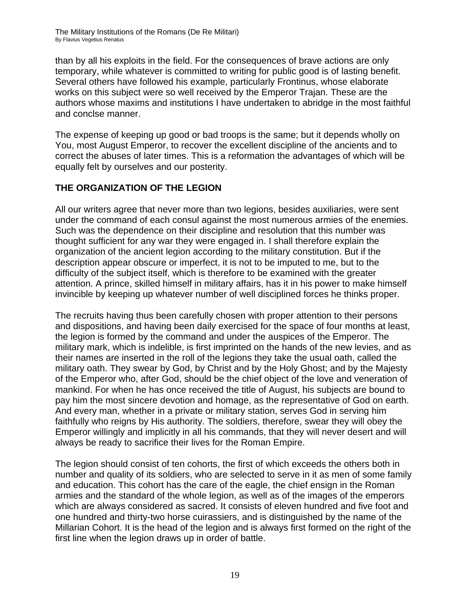than by all his exploits in the field. For the consequences of brave actions are only temporary, while whatever is committed to writing for public good is of lasting benefit. Several others have followed his example, particularly Frontinus, whose elaborate works on this subject were so well received by the Emperor Trajan. These are the authors whose maxims and institutions I have undertaken to abridge in the most faithful and conclse manner.

The expense of keeping up good or bad troops is the same; but it depends wholly on You, most August Emperor, to recover the excellent discipline of the ancients and to correct the abuses of later times. This is a reformation the advantages of which will be equally felt by ourselves and our posterity.

# **THE ORGANIZATION OF THE LEGION**

All our writers agree that never more than two legions, besides auxiliaries, were sent under the command of each consul against the most numerous armies of the enemies. Such was the dependence on their discipline and resolution that this number was thought sufficient for any war they were engaged in. I shall therefore explain the organization of the ancient legion according to the military constitution. But if the description appear obscure or imperfect, it is not to be imputed to me, but to the difficulty of the subject itself, which is therefore to be examined with the greater attention. A prince, skilled himself in military affairs, has it in his power to make himself invincible by keeping up whatever number of well disciplined forces he thinks proper.

The recruits having thus been carefully chosen with proper attention to their persons and dispositions, and having been daily exercised for the space of four months at least, the legion is formed by the command and under the auspices of the Emperor. The military mark, which is indelible, is first imprinted on the hands of the new levies, and as their names are inserted in the roll of the legions they take the usual oath, called the military oath. They swear by God, by Christ and by the Holy Ghost; and by the Majesty of the Emperor who, after God, should be the chief object of the love and veneration of mankind. For when he has once received the title of August, his subjects are bound to pay him the most sincere devotion and homage, as the representative of God on earth. And every man, whether in a private or military station, serves God in serving him faithfully who reigns by His authority. The soldiers, therefore, swear they will obey the Emperor willingly and implicitly in all his commands, that they will never desert and will always be ready to sacrifice their lives for the Roman Empire.

The legion should consist of ten cohorts, the first of which exceeds the others both in number and quality of its soldiers, who are selected to serve in it as men of some family and education. This cohort has the care of the eagle, the chief ensign in the Roman armies and the standard of the whole legion, as well as of the images of the emperors which are always considered as sacred. It consists of eleven hundred and five foot and one hundred and thirty-two horse cuirassiers, and is distinguished by the name of the Millarian Cohort. It is the head of the legion and is always first formed on the right of the first line when the legion draws up in order of battle.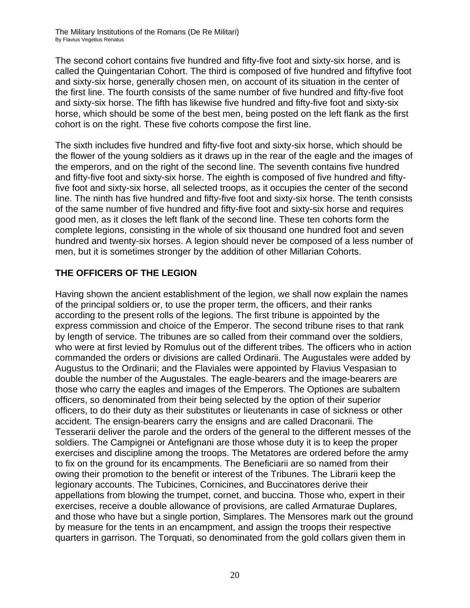The second cohort contains five hundred and fifty-five foot and sixty-six horse, and is called the Quingentarian Cohort. The third is composed of five hundred and fiftyfive foot and sixty-six horse, generally chosen men, on account of its situation in the center of the first line. The fourth consists of the same number of five hundred and fifty-five foot and sixty-six horse. The fifth has likewise five hundred and fifty-five foot and sixty-six horse, which should be some of the best men, being posted on the left flank as the first cohort is on the right. These five cohorts compose the first line.

The sixth includes five hundred and fifty-five foot and sixty-six horse, which should be the flower of the young soldiers as it draws up in the rear of the eagle and the images of the emperors, and on the right of the second line. The seventh contains five hundred and fifty-five foot and sixty-six horse. The eighth is composed of five hundred and fiftyfive foot and sixty-six horse, all selected troops, as it occupies the center of the second line. The ninth has five hundred and fifty-five foot and sixty-six horse. The tenth consists of the same number of five hundred and fifty-five foot and sixty-six horse and requires good men, as it closes the left flank of the second line. These ten cohorts form the complete legions, consisting in the whole of six thousand one hundred foot and seven hundred and twenty-six horses. A legion should never be composed of a less number of men, but it is sometimes stronger by the addition of other Millarian Cohorts.

# **THE OFFICERS OF THE LEGION**

Having shown the ancient establishment of the legion, we shall now explain the names of the principal soldiers or, to use the proper term, the officers, and their ranks according to the present rolls of the legions. The first tribune is appointed by the express commission and choice of the Emperor. The second tribune rises to that rank by length of service. The tribunes are so called from their command over the soldiers, who were at first levied by Romulus out of the different tribes. The officers who in action commanded the orders or divisions are called Ordinarii. The Augustales were added by Augustus to the Ordinarii; and the Flaviales were appointed by Flavius Vespasian to double the number of the Augustales. The eagle-bearers and the image-bearers are those who carry the eagles and images of the Emperors. The Optiones are subaltern officers, so denominated from their being selected by the option of their superior officers, to do their duty as their substitutes or lieutenants in case of sickness or other accident. The ensign-bearers carry the ensigns and are called Draconarii. The Tesserarii deliver the parole and the orders of the general to the different messes of the soldiers. The Campignei or Antefignani are those whose duty it is to keep the proper exercises and discipline among the troops. The Metatores are ordered before the army to fix on the ground for its encampments. The Beneficiarii are so named from their owing their promotion to the benefit or interest of the Tribunes. The Librarii keep the legionary accounts. The Tubicines, Cornicines, and Buccinatores derive their appellations from blowing the trumpet, cornet, and buccina. Those who, expert in their exercises, receive a double allowance of provisions, are called Armaturae Duplares, and those who have but a single portion, Simplares. The Mensores mark out the ground by measure for the tents in an encampment, and assign the troops their respective quarters in garrison. The Torquati, so denominated from the gold collars given them in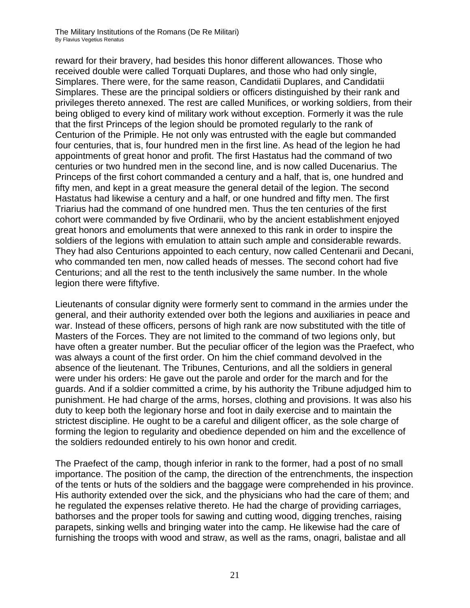reward for their bravery, had besides this honor different allowances. Those who received double were called Torquati Duplares, and those who had only single, Simplares. There were, for the same reason, Candidatii Duplares, and Candidatii Simplares. These are the principal soldiers or officers distinguished by their rank and privileges thereto annexed. The rest are called Munifices, or working soldiers, from their being obliged to every kind of military work without exception. Formerly it was the rule that the first Princeps of the legion should be promoted regularly to the rank of Centurion of the Primiple. He not only was entrusted with the eagle but commanded four centuries, that is, four hundred men in the first line. As head of the legion he had appointments of great honor and profit. The first Hastatus had the command of two centuries or two hundred men in the second line, and is now called Ducenarius. The Princeps of the first cohort commanded a century and a half, that is, one hundred and fifty men, and kept in a great measure the general detail of the legion. The second Hastatus had likewise a century and a half, or one hundred and fifty men. The first Triarius had the command of one hundred men. Thus the ten centuries of the first cohort were commanded by five Ordinarii, who by the ancient establishment enjoyed great honors and emoluments that were annexed to this rank in order to inspire the soldiers of the legions with emulation to attain such ample and considerable rewards. They had also Centurions appointed to each century, now called Centenarii and Decani, who commanded ten men, now called heads of messes. The second cohort had five Centurions; and all the rest to the tenth inclusively the same number. In the whole legion there were fiftyfive.

Lieutenants of consular dignity were formerly sent to command in the armies under the general, and their authority extended over both the legions and auxiliaries in peace and war. Instead of these officers, persons of high rank are now substituted with the title of Masters of the Forces. They are not limited to the command of two legions only, but have often a greater number. But the peculiar officer of the legion was the Praefect, who was always a count of the first order. On him the chief command devolved in the absence of the lieutenant. The Tribunes, Centurions, and all the soldiers in general were under his orders: He gave out the parole and order for the march and for the guards. And if a soldier committed a crime, by his authority the Tribune adjudged him to punishment. He had charge of the arms, horses, clothing and provisions. It was also his duty to keep both the legionary horse and foot in daily exercise and to maintain the strictest discipline. He ought to be a careful and diligent officer, as the sole charge of forming the legion to regularity and obedience depended on him and the excellence of the soldiers redounded entirely to his own honor and credit.

The Praefect of the camp, though inferior in rank to the former, had a post of no small importance. The position of the camp, the direction of the entrenchments, the inspection of the tents or huts of the soldiers and the baggage were comprehended in his province. His authority extended over the sick, and the physicians who had the care of them; and he regulated the expenses relative thereto. He had the charge of providing carriages, bathorses and the proper tools for sawing and cutting wood, digging trenches, raising parapets, sinking wells and bringing water into the camp. He likewise had the care of furnishing the troops with wood and straw, as well as the rams, onagri, balistae and all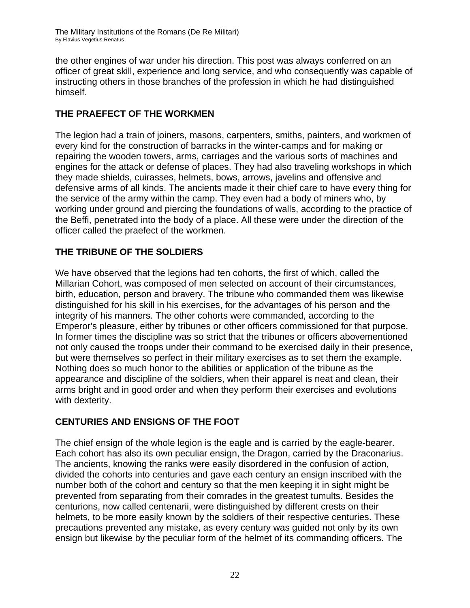the other engines of war under his direction. This post was always conferred on an officer of great skill, experience and long service, and who consequently was capable of instructing others in those branches of the profession in which he had distinguished himself.

# **THE PRAEFECT OF THE WORKMEN**

The legion had a train of joiners, masons, carpenters, smiths, painters, and workmen of every kind for the construction of barracks in the winter-camps and for making or repairing the wooden towers, arms, carriages and the various sorts of machines and engines for the attack or defense of places. They had also traveling workshops in which they made shields, cuirasses, helmets, bows, arrows, javelins and offensive and defensive arms of all kinds. The ancients made it their chief care to have every thing for the service of the army within the camp. They even had a body of miners who, by working under ground and piercing the foundations of walls, according to the practice of the Beffi, penetrated into the body of a place. All these were under the direction of the officer called the praefect of the workmen.

#### **THE TRIBUNE OF THE SOLDIERS**

We have observed that the legions had ten cohorts, the first of which, called the Millarian Cohort, was composed of men selected on account of their circumstances, birth, education, person and bravery. The tribune who commanded them was likewise distinguished for his skill in his exercises, for the advantages of his person and the integrity of his manners. The other cohorts were commanded, according to the Emperor's pleasure, either by tribunes or other officers commissioned for that purpose. In former times the discipline was so strict that the tribunes or officers abovementioned not only caused the troops under their command to be exercised daily in their presence, but were themselves so perfect in their military exercises as to set them the example. Nothing does so much honor to the abilities or application of the tribune as the appearance and discipline of the soldiers, when their apparel is neat and clean, their arms bright and in good order and when they perform their exercises and evolutions with dexterity.

# **CENTURIES AND ENSIGNS OF THE FOOT**

The chief ensign of the whole legion is the eagle and is carried by the eagle-bearer. Each cohort has also its own peculiar ensign, the Dragon, carried by the Draconarius. The ancients, knowing the ranks were easily disordered in the confusion of action, divided the cohorts into centuries and gave each century an ensign inscribed with the number both of the cohort and century so that the men keeping it in sight might be prevented from separating from their comrades in the greatest tumults. Besides the centurions, now called centenarii, were distinguished by different crests on their helmets, to be more easily known by the soldiers of their respective centuries. These precautions prevented any mistake, as every century was guided not only by its own ensign but likewise by the peculiar form of the helmet of its commanding officers. The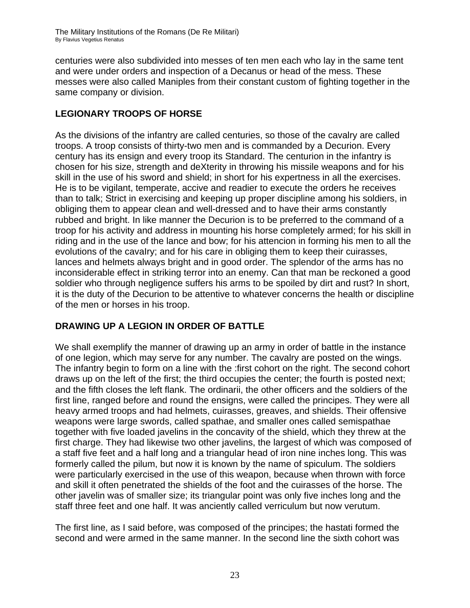centuries were also subdivided into messes of ten men each who lay in the same tent and were under orders and inspection of a Decanus or head of the mess. These messes were also called Maniples from their constant custom of fighting together in the same company or division.

# **LEGIONARY TROOPS OF HORSE**

As the divisions of the infantry are called centuries, so those of the cavalry are called troops. A troop consists of thirty-two men and is commanded by a Decurion. Every century has its ensign and every troop its Standard. The centurion in the infantry is chosen for his size, strength and deXterity in throwing his missile weapons and for his skill in the use of his sword and shield; in short for his expertness in all the exercises. He is to be vigilant, temperate, accive and readier to execute the orders he receives than to talk; Strict in exercising and keeping up proper discipline among his soldiers, in obliging them to appear clean and well-dressed and to have their arms constantly rubbed and bright. In like manner the Decurion is to be preferred to the command of a troop for his activity and address in mounting his horse completely armed; for his skill in riding and in the use of the lance and bow; for his attencion in forming his men to all the evolutions of the cavaIry; and for his care in obliging them to keep their cuirasses, lances and helmets always bright and in good order. The splendor of the arms has no inconsiderable effect in striking terror into an enemy. Can that man be reckoned a good soldier who through negligence suffers his arms to be spoiled by dirt and rust? In short, it is the duty of the Decurion to be attentive to whatever concerns the health or discipline of the men or horses in his troop.

# **DRAWING UP A LEGION IN ORDER OF BATTLE**

We shall exemplify the manner of drawing up an army in order of battle in the instance of one legion, which may serve for any number. The cavalry are posted on the wings. The infantry begin to form on a line with the :first cohort on the right. The second cohort draws up on the left of the first; the third occupies the center; the fourth is posted next; and the fifth closes the left flank. The ordinarii, the other officers and the soldiers of the first line, ranged before and round the ensigns, were called the principes. They were all heavy armed troops and had helmets, cuirasses, greaves, and shields. Their offensive weapons were large swords, called spathae, and smaller ones called semispathae together with five loaded javelins in the concavity of the shield, which they threw at the first charge. They had likewise two other javelins, the largest of which was composed of a staff five feet and a half long and a triangular head of iron nine inches long. This was formerly called the pilum, but now it is known by the name of spiculum. The soldiers were particularly exercised in the use of this weapon, because when thrown with force and skill it often penetrated the shields of the foot and the cuirasses of the horse. The other javelin was of smaller size; its triangular point was only five inches long and the staff three feet and one half. It was anciently called verriculum but now verutum.

The first line, as I said before, was composed of the principes; the hastati formed the second and were armed in the same manner. In the second line the sixth cohort was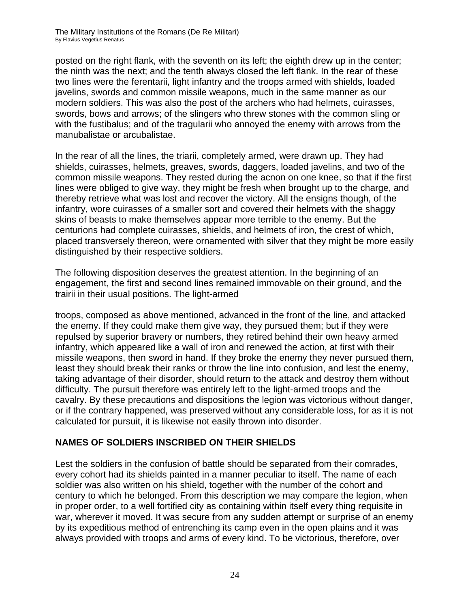posted on the right flank, with the seventh on its left; the eighth drew up in the center; the ninth was the next; and the tenth always closed the left flank. In the rear of these two lines were the ferentarii, light infantry and the troops armed with shields, loaded javelins, swords and common missile weapons, much in the same manner as our modern soldiers. This was also the post of the archers who had helmets, cuirasses, swords, bows and arrows; of the slingers who threw stones with the common sling or with the fustibalus; and of the tragularii who annoyed the enemy with arrows from the manubalistae or arcubalistae.

In the rear of all the lines, the triarii, completely armed, were drawn up. They had shields, cuirasses, helmets, greaves, swords, daggers, loaded javelins, and two of the common missile weapons. They rested during the acnon on one knee, so that if the first lines were obliged to give way, they might be fresh when brought up to the charge, and thereby retrieve what was lost and recover the victory. All the ensigns though, of the infantry, wore cuirasses of a smaller sort and covered their helmets with the shaggy skins of beasts to make themselves appear more terrible to the enemy. But the centurions had complete cuirasses, shields, and helmets of iron, the crest of which, placed transversely thereon, were ornamented with silver that they might be more easily distinguished by their respective soldiers.

The following disposition deserves the greatest attention. In the beginning of an engagement, the first and second lines remained immovable on their ground, and the trairii in their usual positions. The light-armed

troops, composed as above mentioned, advanced in the front of the line, and attacked the enemy. If they could make them give way, they pursued them; but if they were repulsed by superior bravery or numbers, they retired behind their own heavy armed infantry, which appeared like a wall of iron and renewed the action, at first with their missile weapons, then sword in hand. If they broke the enemy they never pursued them, least they should break their ranks or throw the line into confusion, and lest the enemy, taking advantage of their disorder, should return to the attack and destroy them without difficulty. The pursuit therefore was entirely left to the light-armed troops and the cavalry. By these precautions and dispositions the legion was victorious without danger, or if the contrary happened, was preserved without any considerable loss, for as it is not calculated for pursuit, it is likewise not easily thrown into disorder.

# **NAMES OF SOLDIERS INSCRIBED ON THEIR SHIELDS**

Lest the soldiers in the confusion of battle should be separated from their comrades, every cohort had its shields painted in a manner peculiar to itself. The name of each soldier was also written on his shield, together with the number of the cohort and century to which he belonged. From this description we may compare the legion, when in proper order, to a well fortified city as containing within itself every thing requisite in war, wherever it moved. It was secure from any sudden attempt or surprise of an enemy by its expeditious method of entrenching its camp even in the open plains and it was always provided with troops and arms of every kind. To be victorious, therefore, over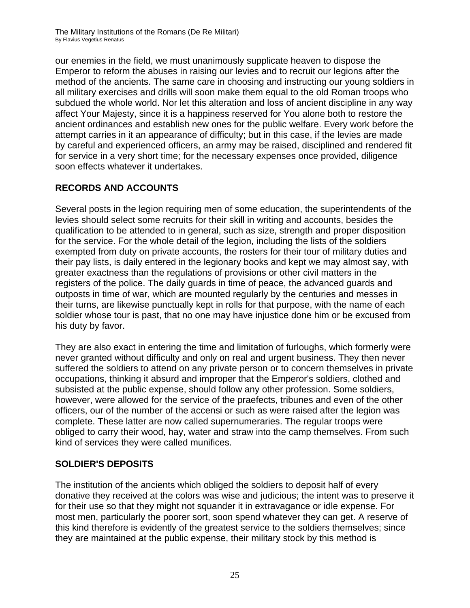our enemies in the field, we must unanimously supplicate heaven to dispose the Emperor to reform the abuses in raising our levies and to recruit our legions after the method of the ancients. The same care in choosing and instructing our young soldiers in all military exercises and drills will soon make them equal to the old Roman troops who subdued the whole world. Nor let this alteration and loss of ancient discipline in any way affect Your Majesty, since it is a happiness reserved for You alone both to restore the ancient ordinances and establish new ones for the public welfare. Every work before the attempt carries in it an appearance of difficulty; but in this case, if the levies are made by careful and experienced officers, an army may be raised, disciplined and rendered fit for service in a very short time; for the necessary expenses once provided, diligence soon effects whatever it undertakes.

# **RECORDS AND ACCOUNTS**

Several posts in the legion requiring men of some education, the superintendents of the levies should select some recruits for their skill in writing and accounts, besides the qualification to be attended to in general, such as size, strength and proper disposition for the service. For the whole detail of the legion, including the lists of the soldiers exempted from duty on private accounts, the rosters for their tour of military duties and their pay lists, is daily entered in the legionary books and kept we may almost say, with greater exactness than the regulations of provisions or other civil matters in the registers of the police. The daily guards in time of peace, the advanced guards and outposts in time of war, which are mounted regularly by the centuries and messes in their turns, are likewise punctually kept in rolls for that purpose, with the name of each soldier whose tour is past, that no one may have injustice done him or be excused from his duty by favor.

They are also exact in entering the time and limitation of furloughs, which formerly were never granted without difficulty and only on real and urgent business. They then never suffered the soldiers to attend on any private person or to concern themselves in private occupations, thinking it absurd and improper that the Emperor's soldiers, clothed and subsisted at the public expense, should follow any other profession. Some soldiers, however, were allowed for the service of the praefects, tribunes and even of the other officers, our of the number of the accensi or such as were raised after the legion was complete. These latter are now called supernumeraries. The regular troops were obliged to carry their wood, hay, water and straw into the camp themselves. From such kind of services they were called munifices.

# **SOLDIER'S DEPOSITS**

The institution of the ancients which obliged the soldiers to deposit half of every donative they received at the colors was wise and judicious; the intent was to preserve it for their use so that they might not squander it in extravagance or idle expense. For most men, particularly the poorer sort, soon spend whatever they can get. A reserve of this kind therefore is evidently of the greatest service to the soldiers themselves; since they are maintained at the public expense, their military stock by this method is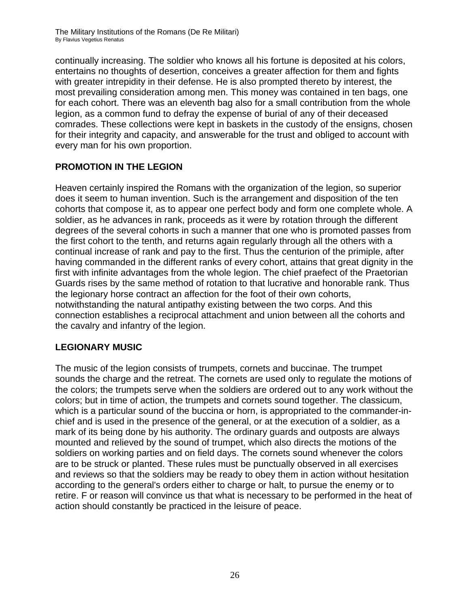continually increasing. The soldier who knows all his fortune is deposited at his colors, entertains no thoughts of desertion, conceives a greater affection for them and fights with greater intrepidity in their defense. He is also prompted thereto by interest, the most prevailing consideration among men. This money was contained in ten bags, one for each cohort. There was an eleventh bag also for a small contribution from the whole legion, as a common fund to defray the expense of burial of any of their deceased comrades. These collections were kept in baskets in the custody of the ensigns, chosen for their integrity and capacity, and answerable for the trust and obliged to account with every man for his own proportion.

#### **PROMOTION IN THE LEGION**

Heaven certainly inspired the Romans with the organization of the legion, so superior does it seem to human invention. Such is the arrangement and disposition of the ten cohorts that compose it, as to appear one perfect body and form one complete whole. A soldier, as he advances in rank, proceeds as it were by rotation through the different degrees of the several cohorts in such a manner that one who is promoted passes from the first cohort to the tenth, and returns again regularly through all the others with a continual increase of rank and pay to the first. Thus the centurion of the primiple, after having commanded in the different ranks of every cohort, attains that great dignity in the first with infinite advantages from the whole legion. The chief praefect of the Praetorian Guards rises by the same method of rotation to that lucrative and honorable rank. Thus the legionary horse contract an affection for the foot of their own cohorts, notwithstanding the natural antipathy existing between the two corps. And this connection establishes a reciprocal attachment and union between all the cohorts and the cavalry and infantry of the legion.

# **LEGIONARY MUSIC**

The music of the legion consists of trumpets, cornets and buccinae. The trumpet sounds the charge and the retreat. The cornets are used only to regulate the motions of the colors; the trumpets serve when the soldiers are ordered out to any work without the colors; but in time of action, the trumpets and cornets sound together. The classicum, which is a particular sound of the buccina or horn, is appropriated to the commander-inchief and is used in the presence of the general, or at the execution of a soldier, as a mark of its being done by his authority. The ordinary guards and outposts are always mounted and relieved by the sound of trumpet, which also directs the motions of the soldiers on working parties and on field days. The cornets sound whenever the colors are to be struck or planted. These rules must be punctually observed in all exercises and reviews so that the soldiers may be ready to obey them in action without hesitation according to the general's orders either to charge or halt, to pursue the enemy or to retire. F or reason will convince us that what is necessary to be performed in the heat of action should constantly be practiced in the leisure of peace.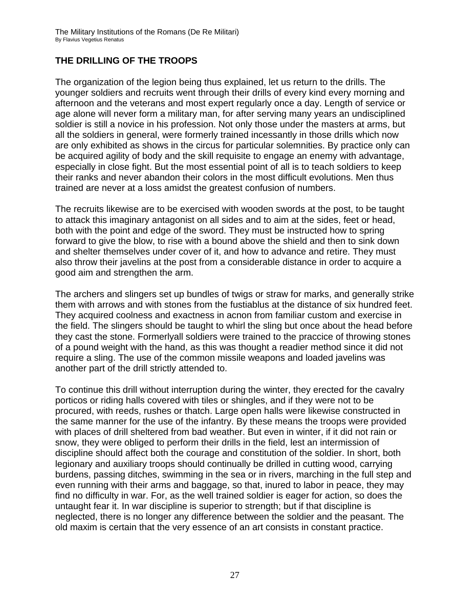# **THE DRILLING OF THE TROOPS**

The organization of the legion being thus explained, let us return to the drills. The younger soldiers and recruits went through their drills of every kind every morning and afternoon and the veterans and most expert regularly once a day. Length of service or age alone will never form a military man, for after serving many years an undisciplined soldier is still a novice in his profession. Not only those under the masters at arms, but all the soldiers in general, were formerly trained incessantly in those drills which now are only exhibited as shows in the circus for particular solemnities. By practice only can be acquired agility of body and the skill requisite to engage an enemy with advantage, especially in close fight. But the most essential point of all is to teach soldiers to keep their ranks and never abandon their colors in the most difficult evolutions. Men thus trained are never at a loss amidst the greatest confusion of numbers.

The recruits likewise are to be exercised with wooden swords at the post, to be taught to attack this imaginary antagonist on all sides and to aim at the sides, feet or head, both with the point and edge of the sword. They must be instructed how to spring forward to give the blow, to rise with a bound above the shield and then to sink down and shelter themselves under cover of it, and how to advance and retire. They must also throw their javelins at the post from a considerable distance in order to acquire a good aim and strengthen the arm.

The archers and slingers set up bundles of twigs or straw for marks, and generally strike them with arrows and with stones from the fustiablus at the distance of six hundred feet. They acquired coolness and exactness in acnon from familiar custom and exercise in the field. The slingers should be taught to whirl the sling but once about the head before they cast the stone. Formerlyall soldiers were trained to the praccice of throwing stones of a pound weight with the hand, as this was thought a readier method since it did not require a sling. The use of the common missile weapons and loaded javelins was another part of the drill strictly attended to.

To continue this drill without interruption during the winter, they erected for the cavalry porticos or riding halls covered with tiles or shingles, and if they were not to be procured, with reeds, rushes or thatch. Large open halls were likewise constructed in the same manner for the use of the infantry. By these means the troops were provided with places of drill sheltered from bad weather. But even in winter, if it did not rain or snow, they were obliged to perform their drills in the field, lest an intermission of discipline should affect both the courage and constitution of the soldier. In short, both legionary and auxiliary troops should continually be drilled in cutting wood, carrying burdens, passing ditches, swimming in the sea or in rivers, marching in the full step and even running with their arms and baggage, so that, inured to labor in peace, they may find no difficulty in war. For, as the well trained soldier is eager for action, so does the untaught fear it. In war discipline is superior to strength; but if that discipline is neglected, there is no longer any difference between the soldier and the peasant. The old maxim is certain that the very essence of an art consists in constant practice.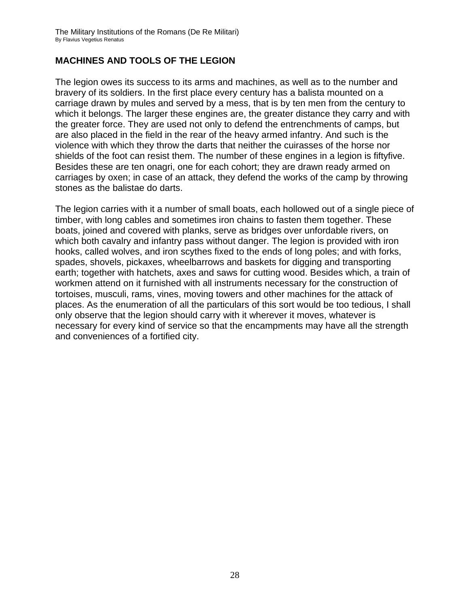#### **MACHINES AND TOOLS OF THE LEGION**

The legion owes its success to its arms and machines, as well as to the number and bravery of its soldiers. In the first place every century has a balista mounted on a carriage drawn by mules and served by a mess, that is by ten men from the century to which it belongs. The larger these engines are, the greater distance they carry and with the greater force. They are used not only to defend the entrenchments of camps, but are also placed in the field in the rear of the heavy armed infantry. And such is the violence with which they throw the darts that neither the cuirasses of the horse nor shields of the foot can resist them. The number of these engines in a legion is fiftyfive. Besides these are ten onagri, one for each cohort; they are drawn ready armed on carriages by oxen; in case of an attack, they defend the works of the camp by throwing stones as the balistae do darts.

The legion carries with it a number of small boats, each hollowed out of a single piece of timber, with long cables and sometimes iron chains to fasten them together. These boats, joined and covered with planks, serve as bridges over unfordable rivers, on which both cavalry and infantry pass without danger. The legion is provided with iron hooks, called wolves, and iron scythes fixed to the ends of long poles; and with forks, spades, shovels, pickaxes, wheelbarrows and baskets for digging and transporting earth; together with hatchets, axes and saws for cutting wood. Besides which, a train of workmen attend on it furnished with all instruments necessary for the construction of tortoises, musculi, rams, vines, moving towers and other machines for the attack of places. As the enumeration of all the particulars of this sort would be too tedious, I shall only observe that the legion should carry with it wherever it moves, whatever is necessary for every kind of service so that the encampments may have all the strength and conveniences of a fortified city.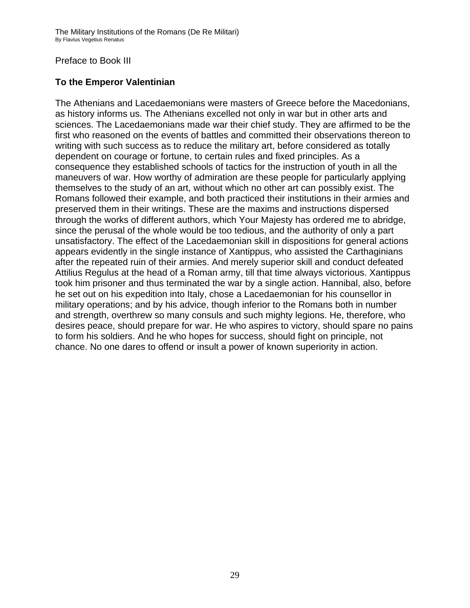#### Preface to Book III

#### **To the Emperor Valentinian**

The Athenians and Lacedaemonians were masters of Greece before the Macedonians, as history informs us. The Athenians excelled not only in war but in other arts and sciences. The Lacedaemonians made war their chief study. They are affirmed to be the first who reasoned on the events of battles and committed their observations thereon to writing with such success as to reduce the military art, before considered as totally dependent on courage or fortune, to certain rules and fixed principles. As a consequence they established schools of tactics for the instruction of youth in all the maneuvers of war. How worthy of admiration are these people for particularly applying themselves to the study of an art, without which no other art can possibly exist. The Romans followed their example, and both practiced their institutions in their armies and preserved them in their writings. These are the maxims and instructions dispersed through the works of different authors, which Your Majesty has ordered me to abridge, since the perusal of the whole would be too tedious, and the authority of only a part unsatisfactory. The effect of the Lacedaemonian skill in dispositions for general actions appears evidently in the single instance of Xantippus, who assisted the Carthaginians after the repeated ruin of their armies. And merely superior skill and conduct defeated Attilius Regulus at the head of a Roman army, till that time always victorious. Xantippus took him prisoner and thus terminated the war by a single action. Hannibal, also, before he set out on his expedition into Italy, chose a Lacedaemonian for his counsellor in military operations; and by his advice, though inferior to the Romans both in number and strength, overthrew so many consuls and such mighty legions. He, therefore, who desires peace, should prepare for war. He who aspires to victory, should spare no pains to form his soldiers. And he who hopes for success, should fight on principle, not chance. No one dares to offend or insult a power of known superiority in action.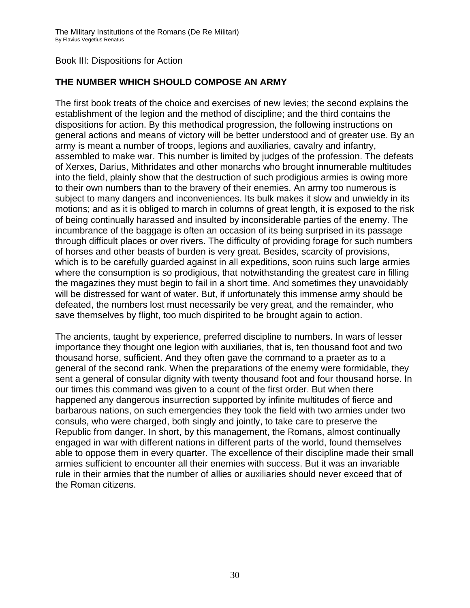#### Book III: Dispositions for Action

#### **THE NUMBER WHICH SHOULD COMPOSE AN ARMY**

The first book treats of the choice and exercises of new levies; the second explains the establishment of the legion and the method of discipline; and the third contains the dispositions for action. By this methodical progression, the following instructions on general actions and means of victory will be better understood and of greater use. By an army is meant a number of troops, legions and auxiliaries, cavalry and infantry, assembled to make war. This number is limited by judges of the profession. The defeats of Xerxes, Darius, Mithridates and other monarchs who brought innumerable multitudes into the field, plainly show that the destruction of such prodigious armies is owing more to their own numbers than to the bravery of their enemies. An army too numerous is subject to many dangers and inconveniences. Its bulk makes it slow and unwieldy in its motions; and as it is obliged to march in columns of great length, it is exposed to the risk of being continually harassed and insulted by inconsiderable parties of the enemy. The incumbrance of the baggage is often an occasion of its being surprised in its passage through difficult places or over rivers. The difficulty of providing forage for such numbers of horses and other beasts of burden is very great. Besides, scarcity of provisions, which is to be carefully guarded against in all expeditions, soon ruins such large armies where the consumption is so prodigious, that notwithstanding the greatest care in filling the magazines they must begin to fail in a short time. And sometimes they unavoidably will be distressed for want of water. But, if unfortunately this immense army should be defeated, the numbers lost must necessarily be very great, and the remainder, who save themselves by flight, too much dispirited to be brought again to action.

The ancients, taught by experience, preferred discipline to numbers. In wars of lesser importance they thought one legion with auxiliaries, that is, ten thousand foot and two thousand horse, sufficient. And they often gave the command to a praeter as to a general of the second rank. When the preparations of the enemy were formidable, they sent a general of consular dignity with twenty thousand foot and four thousand horse. In our times this command was given to a count of the first order. But when there happened any dangerous insurrection supported by infinite multitudes of fierce and barbarous nations, on such emergencies they took the field with two armies under two consuls, who were charged, both singly and jointly, to take care to preserve the Republic from danger. In short, by this management, the Romans, almost continually engaged in war with different nations in different parts of the world, found themselves able to oppose them in every quarter. The excellence of their discipline made their small armies sufficient to encounter all their enemies with success. But it was an invariable rule in their armies that the number of allies or auxiliaries should never exceed that of the Roman citizens.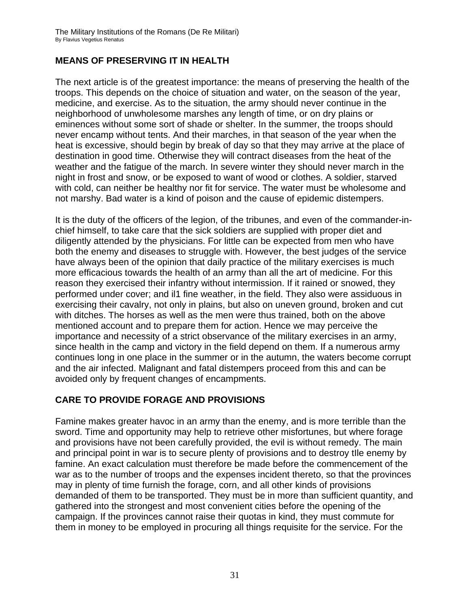#### **MEANS OF PRESERVING IT IN HEALTH**

The next article is of the greatest importance: the means of preserving the health of the troops. This depends on the choice of situation and water, on the season of the year, medicine, and exercise. As to the situation, the army should never continue in the neighborhood of unwholesome marshes any length of time, or on dry plains or eminences without some sort of shade or shelter. In the summer, the troops should never encamp without tents. And their marches, in that season of the year when the heat is excessive, should begin by break of day so that they may arrive at the place of destination in good time. Otherwise they will contract diseases from the heat of the weather and the fatigue of the march. In severe winter they should never march in the night in frost and snow, or be exposed to want of wood or clothes. A soldier, starved with cold, can neither be healthy nor fit for service. The water must be wholesome and not marshy. Bad water is a kind of poison and the cause of epidemic distempers.

It is the duty of the officers of the legion, of the tribunes, and even of the commander-inchief himself, to take care that the sick soldiers are supplied with proper diet and diligently attended by the physicians. For little can be expected from men who have both the enemy and diseases to struggle with. However, the best judges of the service have always been of the opinion that daily practice of the military exercises is much more efficacious towards the health of an army than all the art of medicine. For this reason they exercised their infantry without intermission. If it rained or snowed, they performed under cover; and il1 fine weather, in the field. They also were assiduous in exercising their cavalry, not only in plains, but also on uneven ground, broken and cut with ditches. The horses as well as the men were thus trained, both on the above mentioned account and to prepare them for action. Hence we may perceive the importance and necessity of a strict observance of the military exercises in an army, since health in the camp and victory in the field depend on them. If a numerous army continues long in one place in the summer or in the autumn, the waters become corrupt and the air infected. Malignant and fatal distempers proceed from this and can be avoided only by frequent changes of encampments.

# **CARE TO PROVIDE FORAGE AND PROVISIONS**

Famine makes greater havoc in an army than the enemy, and is more terrible than the sword. Time and opportunity may help to retrieve other misfortunes, but where forage and provisions have not been carefully provided, the evil is without remedy. The main and principal point in war is to secure plenty of provisions and to destroy tIle enemy by famine. An exact calculation must therefore be made before the commencement of the war as to the number of troops and the expenses incident thereto, so that the provinces may in plenty of time furnish the forage, corn, and all other kinds of provisions demanded of them to be transported. They must be in more than sufficient quantity, and gathered into the strongest and most convenient cities before the opening of the campaign. If the provinces cannot raise their quotas in kind, they must commute for them in money to be employed in procuring all things requisite for the service. For the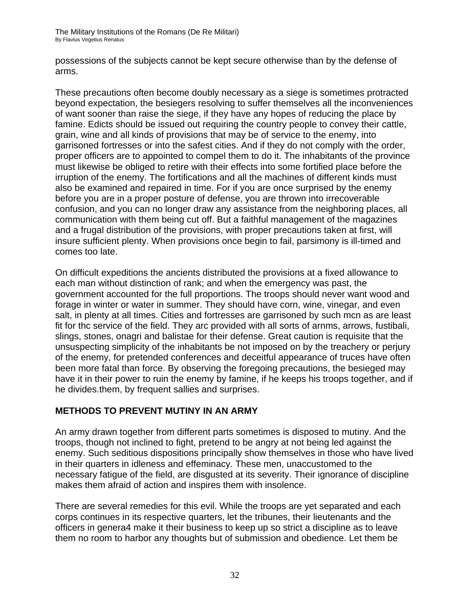possessions of the subjects cannot be kept secure otherwise than by the defense of arms.

These precautions often become doubly necessary as a siege is sometimes protracted beyond expectation, the besiegers resolving to suffer themselves all the inconveniences of want sooner than raise the siege, if they have any hopes of reducing the place by famine. Edicts should be issued out requiring the country people to convey their cattle, grain, wine and all kinds of provisions that may be of service to the enemy, into garrisoned fortresses or into the safest cities. And if they do not comply with the order, proper officers are to appointed to compel them to do it. The inhabitants of the province must likewise be obliged to retire with their effects into some fortified place before the irruption of the enemy. The fortifications and all the machines of different kinds must also be examined and repaired in time. For if you are once surprised by the enemy before you are in a proper posture of defense, you are thrown into irrecoverable confusion, and you can no longer draw any assistance from the neighboring places, all communication with them being cut off. But a faithful management of the magazines and a frugal distribution of the provisions, with proper precautions taken at first, will insure sufficient plenty. When provisions once begin to fail, parsimony is ill-timed and comes too late.

On difficult expeditions the ancients distributed the provisions at a fixed allowance to each man without distinction of rank; and when the emergency was past, the government accounted for the full proportions. The troops should never want wood and forage in winter or water in summer. They should have corn, wine, vinegar, and even salt, in plenty at all times. Cities and fortresses are garrisoned by such mcn as are least fit for thc service of the field. They arc provided with all sorts of arnms, arrows, fustibali, slings, stones, onagri and balistae for their defense. Great caution is requisite that the unsuspecting simplicity of the inhabitants be not imposed on by the treachery or perjury of the enemy, for pretended conferences and deceitful appearance of truces have often been more fatal than force. By observing the foregoing precautions, the besieged may have it in their power to ruin the enemy by famine, if he keeps his troops together, and if he divides.them, by frequent sallies and surprises.

# **METHODS TO PREVENT MUTINY IN AN ARMY**

An army drawn together from different parts sometimes is disposed to mutiny. And the troops, though not inclined to fight, pretend to be angry at not being led against the enemy. Such seditious dispositions principally show themselves in those who have lived in their quarters in idleness and effeminacy. These men, unaccustomed to the necessary fatigue of the field, are disgusted at its severity. Their ignorance of discipline makes them afraid of action and inspires them with insolence.

There are several remedies for this evil. While the troops are yet separated and each corps continues in its respective quarters, let the tribunes, their lieutenants and the officers in genera4 make it their business to keep up so strict a discipline as to leave them no room to harbor any thoughts but of submission and obedience. Let them be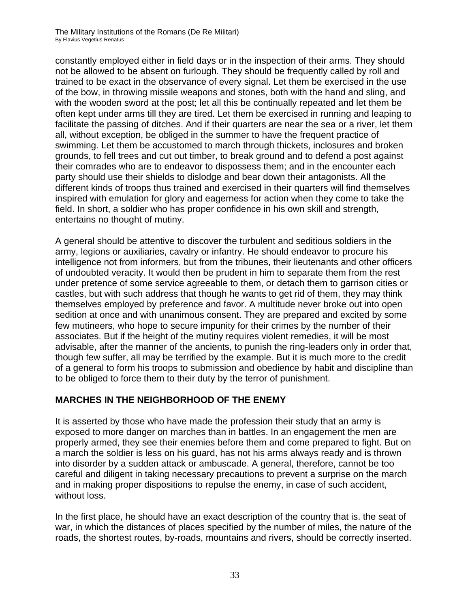The Military Institutions of the Romans (De Re Militari) By Flavius Vegetius Renatus

constantly employed either in field days or in the inspection of their arms. They should not be allowed to be absent on furlough. They should be frequently called by roll and trained to be exact in the observance of every signal. Let them be exercised in the use of the bow, in throwing missile weapons and stones, both with the hand and sling, and with the wooden sword at the post; let all this be continually repeated and let them be often kept under arms till they are tired. Let them be exercised in running and leaping to facilitate the passing of ditches. And if their quarters are near the sea or a river, let them all, without exception, be obliged in the summer to have the frequent practice of swimming. Let them be accustomed to march through thickets, inclosures and broken grounds, to fell trees and cut out timber, to break ground and to defend a post against their comrades who are to endeavor to dispossess them; and in the encounter each party should use their shields to dislodge and bear down their antagonists. All the different kinds of troops thus trained and exercised in their quarters will find themselves inspired with emulation for glory and eagerness for action when they come to take the field. In short, a soldier who has proper confidence in his own skill and strength, entertains no thought of mutiny.

A general should be attentive to discover the turbulent and seditious soldiers in the army, legions or auxiliaries, cavalry or infantry. He should endeavor to procure his intelligence not from informers, but from the tribunes, their lieutenants and other officers of undoubted veracity. It would then be prudent in him to separate them from the rest under pretence of some service agreeable to them, or detach them to garrison cities or castles, but with such address that though he wants to get rid of them, they may think themselves employed by preference and favor. A multitude never broke out into open sedition at once and with unanimous consent. They are prepared and excited by some few mutineers, who hope to secure impunity for their crimes by the number of their associates. But if the height of the mutiny requires violent remedies, it will be most advisable, after the manner of the ancients, to punish the ring-leaders only in order that, though few suffer, all may be terrified by the example. But it is much more to the credit of a general to form his troops to submission and obedience by habit and discipline than to be obliged to force them to their duty by the terror of punishment.

#### **MARCHES IN THE NEIGHBORHOOD OF THE ENEMY**

It is asserted by those who have made the profession their study that an army is exposed to more danger on marches than in battles. In an engagement the men are properly armed, they see their enemies before them and come prepared to fight. But on a march the soldier is less on his guard, has not his arms always ready and is thrown into disorder by a sudden attack or ambuscade. A general, therefore, cannot be too careful and diligent in taking necessary precautions to prevent a surprise on the march and in making proper dispositions to repulse the enemy, in case of such accident, without loss.

In the first place, he should have an exact description of the country that is. the seat of war, in which the distances of places specified by the number of miles, the nature of the roads, the shortest routes, by-roads, mountains and rivers, should be correctly inserted.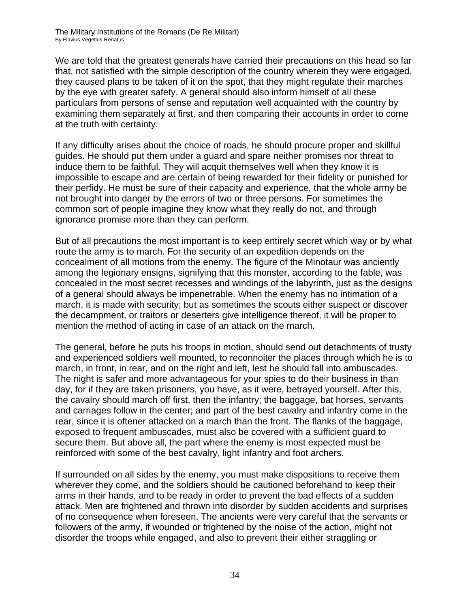We are told that the greatest generals have carried their precautions on this head so far that, not satisfied with the simple description of the country wherein they were engaged, they caused plans to be taken of it on the spot, that they might regulate their marches by the eye with greater safety. A general should also inform himself of all these particulars from persons of sense and reputation well acquainted with the country by examining them separately at first, and then comparing their accounts in order to come at the truth with certainty.

If any difficulty arises about the choice of roads, he should procure proper and skillful guides. He should put them under a guard and spare neither promises nor threat to induce them to be faithful. They will acquit themselves well when they know it is impossible to escape and are certain of being rewarded for their fidelity or punished for their perfidy. He must be sure of their capacity and experience, that the whole army be not brought into danger by the errors of two or three persons. For sometimes the common sort of people imagine they know what they really do not, and through ignorance promise more than they can perform.

But of all precautions the most important is to keep entirely secret which way or by what route the army is to march. For the security of an expedition depends on the concealment of all motions from the enemy. The figure of the Minotaur was anciently among the legionary ensigns, signifying that this monster, according to the fable, was concealed in the most secret recesses and windings of the labyrinth, just as the designs of a general should always be impenetrable. When the enemy has no intimation of a march, it is made with security; but as sometimes the scouts either suspect or discover the decampment, or traitors or deserters give intelligence thereof, it will be proper to mention the method of acting in case of an attack on the march.

The general, before he puts his troops in motion, should send out detachments of trusty and experienced soldiers well mounted, to reconnoiter the places through which he is to march, in front, in rear, and on the right and left, lest he should fall into ambuscades. The night is safer and more advantageous for your spies to do their business in than day, for if they are taken prisoners, you have, as it were, betrayed yourself. After this, the cavalry should march off first, then the infantry; the baggage, bat horses, servants and carriages follow in the center; and part of the best cavalry and infantry come in the rear, since it is oftener attacked on a march than the front. The flanks of the baggage, exposed to frequent ambuscades, must also be covered with a sufficient guard to secure them. But above all, the part where the enemy is most expected must be reinforced with some of the best cavalry, light infantry and foot archers.

If surrounded on all sides by the enemy, you must make dispositions to receive them wherever they come, and the soldiers should be cautioned beforehand to keep their arms in their hands, and to be ready in order to prevent the bad effects of a sudden attack. Men are frightened and thrown into disorder by sudden accidents and surprises of no consequence when foreseen. The ancients were very careful that the servants or followers of the army, if wounded or frightened by the noise of the action, might not disorder the troops while engaged, and also to prevent their either straggling or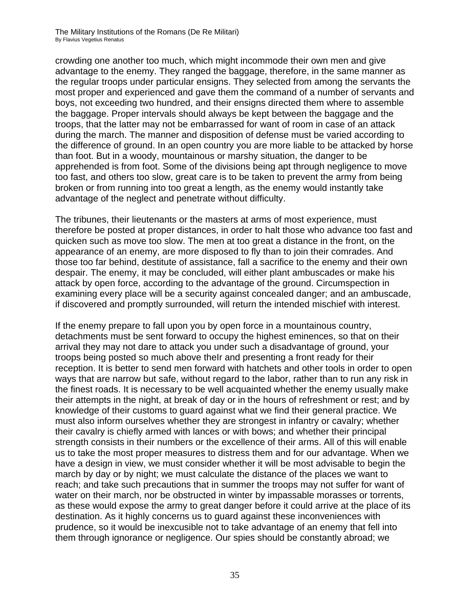crowding one another too much, which might incommode their own men and give advantage to the enemy. They ranged the baggage, therefore, in the same manner as the regular troops under particular ensigns. They selected from among the servants the most proper and experienced and gave them the command of a number of servants and boys, not exceeding two hundred, and their ensigns directed them where to assemble the baggage. Proper intervals should always be kept between the baggage and the troops, that the latter may not be embarrassed for want of room in case of an attack during the march. The manner and disposition of defense must be varied according to the difference of ground. In an open country you are more liable to be attacked by horse than foot. But in a woody, mountainous or marshy situation, the danger to be apprehended is from foot. Some of the divisions being apt through negligence to move too fast, and others too slow, great care is to be taken to prevent the army from being broken or from running into too great a length, as the enemy would instantly take advantage of the neglect and penetrate without difficulty.

The tribunes, their lieutenants or the masters at arms of most experience, must therefore be posted at proper distances, in order to halt those who advance too fast and quicken such as move too slow. The men at too great a distance in the front, on the appearance of an enemy, are more disposed to fly than to join their comrades. And those too far behind, destitute of assistance, fall a sacrifice to the enemy and their own despair. The enemy, it may be concluded, will either plant ambuscades or make his attack by open force, according to the advantage of the ground. Circumspection in examining every place will be a security against concealed danger; and an ambuscade, if discovered and promptly surrounded, will return the intended mischief with interest.

If the enemy prepare to fall upon you by open force in a mountainous country, detachments must be sent forward to occupy the highest eminences, so that on their arrival they may not dare to attack you under such a disadvantage of ground, your troops being posted so much above theIr and presenting a front ready for their reception. It is better to send men forward with hatchets and other tools in order to open ways that are narrow but safe, without regard to the labor, rather than to run any risk in the finest roads. It is necessary to be well acquainted whether the enemy usually make their attempts in the night, at break of day or in the hours of refreshment or rest; and by knowledge of their customs to guard against what we find their general practice. We must also inform ourselves whether they are strongest in infantry or cavalry; whether their cavalry is chiefly armed with lances or with bows; and whether their principal strength consists in their numbers or the excellence of their arms. All of this will enable us to take the most proper measures to distress them and for our advantage. When we have a design in view, we must consider whether it will be most advisable to begin the march by day or by night; we must calculate the distance of the places we want to reach; and take such precautions that in summer the troops may not suffer for want of water on their march, nor be obstructed in winter by impassable morasses or torrents, as these would expose the army to great danger before it could arrive at the place of its destination. As it highly concerns us to guard against these inconveniences with prudence, so it would be inexcusible not to take advantage of an enemy that fell into them through ignorance or negligence. Our spies should be constantly abroad; we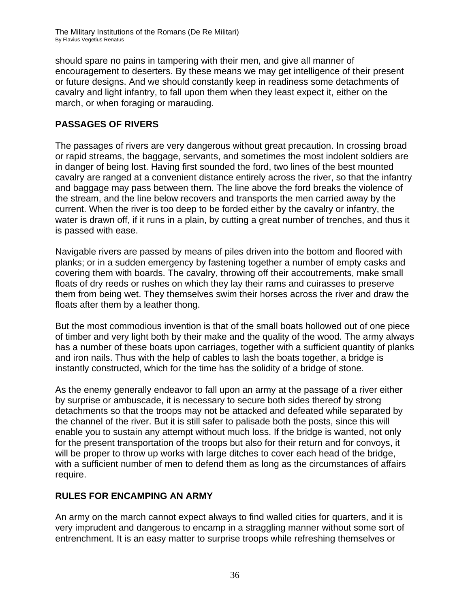should spare no pains in tampering with their men, and give all manner of encouragement to deserters. By these means we may get intelligence of their present or future designs. And we should constantly keep in readiness some detachments of cavalry and light infantry, to fall upon them when they least expect it, either on the march, or when foraging or marauding.

#### **PASSAGES OF RIVERS**

The passages of rivers are very dangerous without great precaution. In crossing broad or rapid streams, the baggage, servants, and sometimes the most indolent soldiers are in danger of being lost. Having first sounded the ford, two lines of the best mounted cavalry are ranged at a convenient distance entirely across the river, so that the infantry and baggage may pass between them. The line above the ford breaks the violence of the stream, and the line below recovers and transports the men carried away by the current. When the river is too deep to be forded either by the cavalry or infantry, the water is drawn off, if it runs in a plain, by cutting a great number of trenches, and thus it is passed with ease.

Navigable rivers are passed by means of piles driven into the bottom and floored with planks; or in a sudden emergency by fastening together a number of empty casks and covering them with boards. The cavalry, throwing off their accoutrements, make small floats of dry reeds or rushes on which they lay their rams and cuirasses to preserve them from being wet. They themselves swim their horses across the river and draw the floats after them by a leather thong.

But the most commodious invention is that of the small boats hollowed out of one piece of timber and very light both by their make and the quality of the wood. The army always has a number of these boats upon carriages, together with a sufficient quantity of planks and iron nails. Thus with the help of cables to lash the boats together, a bridge is instantly constructed, which for the time has the solidity of a bridge of stone.

As the enemy generally endeavor to fall upon an army at the passage of a river either by surprise or ambuscade, it is necessary to secure both sides thereof by strong detachments so that the troops may not be attacked and defeated while separated by the channel of the river. But it is still safer to palisade both the posts, since this will enable you to sustain any attempt without much loss. If the bridge is wanted, not only for the present transportation of the troops but also for their return and for convoys, it will be proper to throw up works with large ditches to cover each head of the bridge, with a sufficient number of men to defend them as long as the circumstances of affairs require.

#### **RULES FOR ENCAMPING AN ARMY**

An army on the march cannot expect always to find walled cities for quarters, and it is very imprudent and dangerous to encamp in a straggling manner without some sort of entrenchment. It is an easy matter to surprise troops while refreshing themselves or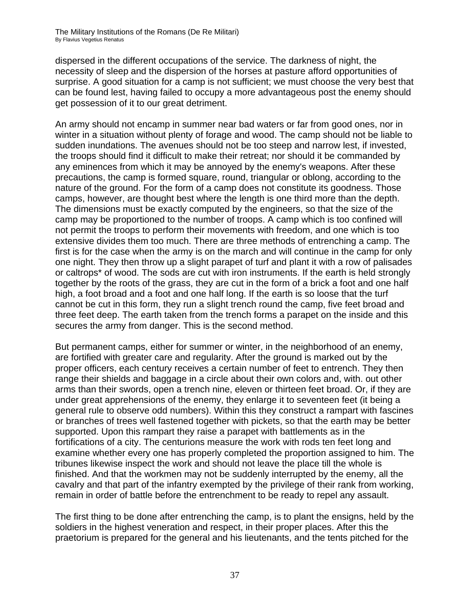The Military Institutions of the Romans (De Re Militari) By Flavius Vegetius Renatus

dispersed in the different occupations of the service. The darkness of night, the necessity of sleep and the dispersion of the horses at pasture afford opportunities of surprise. A good situation for a camp is not sufficient; we must choose the very best that can be found lest, having failed to occupy a more advantageous post the enemy should get possession of it to our great detriment.

An army should not encamp in summer near bad waters or far from good ones, nor in winter in a situation without plenty of forage and wood. The camp should not be liable to sudden inundations. The avenues should not be too steep and narrow lest, if invested, the troops should find it difficult to make their retreat; nor should it be commanded by any eminences from which it may be annoyed by the enemy's weapons. After these precautions, the camp is formed square, round, triangular or oblong, according to the nature of the ground. For the form of a camp does not constitute its goodness. Those camps, however, are thought best where the length is one third more than the depth. The dimensions must be exactly computed by the engineers, so that the size of the camp may be proportioned to the number of troops. A camp which is too confined will not permit the troops to perform their movements with freedom, and one which is too extensive divides them too much. There are three methods of entrenching a camp. The first is for the case when the army is on the march and will continue in the camp for only one night. They then throw up a slight parapet of turf and plant it with a row of palisades or caltrops\* of wood. The sods are cut with iron instruments. If the earth is held strongly together by the roots of the grass, they are cut in the form of a brick a foot and one half high, a foot broad and a foot and one half long. If the earth is so loose that the turf cannot be cut in this form, they run a slight trench round the camp, five feet broad and three feet deep. The earth taken from the trench forms a parapet on the inside and this secures the army from danger. This is the second method.

But permanent camps, either for summer or winter, in the neighborhood of an enemy, are fortified with greater care and regularity. After the ground is marked out by the proper officers, each century receives a certain number of feet to entrench. They then range their shields and baggage in a circle about their own colors and, with. out other arms than their swords, open a trench nine, eleven or thirteen feet broad. Or, if they are under great apprehensions of the enemy, they enlarge it to seventeen feet (it being a general rule to observe odd numbers). Within this they construct a rampart with fascines or branches of trees well fastened together with pickets, so that the earth may be better supported. Upon this rampart they raise a parapet with battlements as in the fortifications of a city. The centurions measure the work with rods ten feet long and examine whether every one has properly completed the proportion assigned to him. The tribunes likewise inspect the work and should not leave the place till the whole is finished. And that the workmen may not be suddenly interrupted by the enemy, all the cavalry and that part of the infantry exempted by the privilege of their rank from working, remain in order of battle before the entrenchment to be ready to repel any assault.

The first thing to be done after entrenching the camp, is to plant the ensigns, held by the soldiers in the highest veneration and respect, in their proper places. After this the praetorium is prepared for the general and his lieutenants, and the tents pitched for the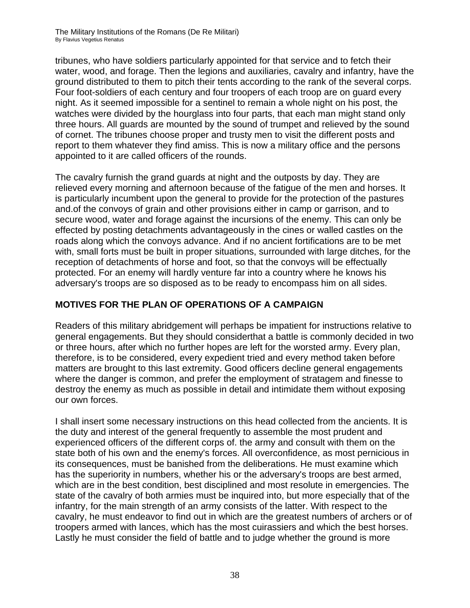The Military Institutions of the Romans (De Re Militari) By Flavius Vegetius Renatus

tribunes, who have soldiers particularly appointed for that service and to fetch their water, wood, and forage. Then the legions and auxiliaries, cavalry and infantry, have the ground distributed to them to pitch their tents according to the rank of the several corps. Four foot-soldiers of each century and four troopers of each troop are on guard every night. As it seemed impossible for a sentinel to remain a whole night on his post, the watches were divided by the hourglass into four parts, that each man might stand only three hours. All guards are mounted by the sound of trumpet and relieved by the sound of cornet. The tribunes choose proper and trusty men to visit the different posts and report to them whatever they find amiss. This is now a military office and the persons appointed to it are called officers of the rounds.

The cavalry furnish the grand guards at night and the outposts by day. They are relieved every morning and afternoon because of the fatigue of the men and horses. It is particularly incumbent upon the general to provide for the protection of the pastures and.of the convoys of grain and other provisions either in camp or garrison, and to secure wood, water and forage against the incursions of the enemy. This can only be effected by posting detachments advantageously in the cines or walled castles on the roads along which the convoys advance. And if no ancient fortifications are to be met with, small forts must be built in proper situations, surrounded with large ditches, for the reception of detachments of horse and foot, so that the convoys will be effectually protected. For an enemy will hardly venture far into a country where he knows his adversary's troops are so disposed as to be ready to encompass him on all sides.

#### **MOTIVES FOR THE PLAN OF OPERATIONS OF A CAMPAIGN**

Readers of this military abridgement will perhaps be impatient for instructions relative to general engagements. But they should considerthat a battle is commonly decided in two or three hours, after which no further hopes are left for the worsted army. Every plan, therefore, is to be considered, every expedient tried and every method taken before matters are brought to this last extremity. Good officers decline general engagements where the danger is common, and prefer the employment of stratagem and finesse to destroy the enemy as much as possible in detail and intimidate them without exposing our own forces.

I shall insert some necessary instructions on this head collected from the ancients. It is the duty and interest of the general frequently to assemble the most prudent and experienced officers of the different corps of. the army and consult with them on the state both of his own and the enemy's forces. All overconfidence, as most pernicious in its consequences, must be banished from the deliberations. He must examine which has the superiority in numbers, whether his or the adversary's troops are best armed, which are in the best condition, best disciplined and most resolute in emergencies. The state of the cavalry of both armies must be inquired into, but more especially that of the infantry, for the main strength of an army consists of the latter. With respect to the cavalry, he must endeavor to find out in which are the greatest numbers of archers or of troopers armed with lances, which has the most cuirassiers and which the best horses. Lastly he must consider the field of battle and to judge whether the ground is more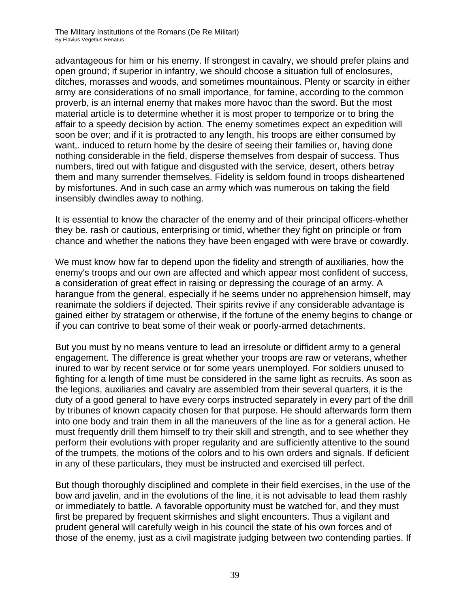advantageous for him or his enemy. If strongest in cavalry, we should prefer plains and open ground; if superior in infantry, we should choose a situation full of enclosures, ditches, morasses and woods, and sometimes mountainous. Plenty or scarcity in either army are considerations of no small importance, for famine, according to the common proverb, is an internal enemy that makes more havoc than the sword. But the most material article is to determine whether it is most proper to temporize or to bring the affair to a speedy decision by action. The enemy sometimes expect an expedition will soon be over; and if it is protracted to any length, his troops are either consumed by want,. induced to return home by the desire of seeing their families or, having done nothing considerable in the field, disperse themselves from despair of success. Thus numbers, tired out with fatigue and disgusted with the service, desert, others betray them and many surrender themselves. Fidelity is seldom found in troops disheartened by misfortunes. And in such case an army which was numerous on taking the field insensibly dwindles away to nothing.

It is essential to know the character of the enemy and of their principal officers-whether they be. rash or cautious, enterprising or timid, whether they fight on principle or from chance and whether the nations they have been engaged with were brave or cowardly.

We must know how far to depend upon the fidelity and strength of auxiliaries, how the enemy's troops and our own are affected and which appear most confident of success, a consideration of great effect in raising or depressing the courage of an army. A harangue from the general, especially if he seems under no apprehension himself, may reanimate the soldiers if dejected. Their spirits revive if any considerable advantage is gained either by stratagem or otherwise, if the fortune of the enemy begins to change or if you can contrive to beat some of their weak or poorly-armed detachments.

But you must by no means venture to lead an irresolute or diffident army to a general engagement. The difference is great whether your troops are raw or veterans, whether inured to war by recent service or for some years unemployed. For soldiers unused to fighting for a length of time must be considered in the same light as recruits. As soon as the legions, auxiliaries and cavalry are assembled from their several quarters, it is the duty of a good general to have every corps instructed separately in every part of the drill by tribunes of known capacity chosen for that purpose. He should afterwards form them into one body and train them in all the maneuvers of the line as for a general action. He must frequently drill them himself to try their skill and strength, and to see whether they perform their evolutions with proper regularity and are sufficiently attentive to the sound of the trumpets, the motions of the colors and to his own orders and signals. If deficient in any of these particulars, they must be instructed and exercised till perfect.

But though thoroughly disciplined and complete in their field exercises, in the use of the bow and javelin, and in the evolutions of the line, it is not advisable to lead them rashly or immediately to battle. A favorable opportunity must be watched for, and they must first be prepared by frequent skirmishes and slight encounters. Thus a vigilant and prudent general will carefully weigh in his council the state of his own forces and of those of the enemy, just as a civil magistrate judging between two contending parties. If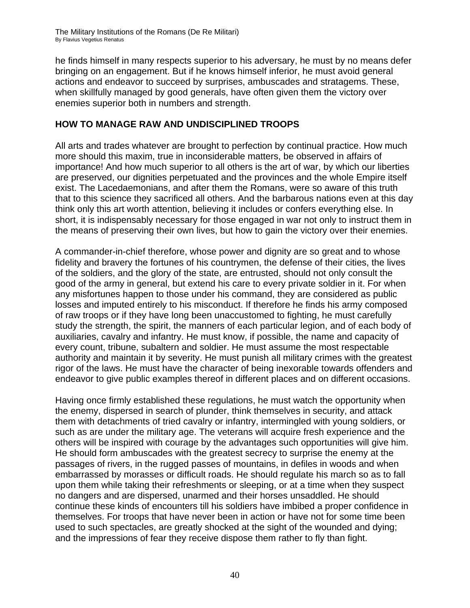he finds himself in many respects superior to his adversary, he must by no means defer bringing on an engagement. But if he knows himself inferior, he must avoid general actions and endeavor to succeed by surprises, ambuscades and stratagems. These, when skillfully managed by good generals, have often given them the victory over enemies superior both in numbers and strength.

#### **HOW TO MANAGE RAW AND UNDISCIPLINED TROOPS**

All arts and trades whatever are brought to perfection by continual practice. How much more should this maxim, true in inconsiderable matters, be observed in affairs of importance! And how much superior to all others is the art of war, by which our liberties are preserved, our dignities perpetuated and the provinces and the whole Empire itself exist. The Lacedaemonians, and after them the Romans, were so aware of this truth that to this science they sacrificed all others. And the barbarous nations even at this day think only this art worth attention, believing it includes or confers everything else. In short, it is indispensably necessary for those engaged in war not only to instruct them in the means of preserving their own lives, but how to gain the victory over their enemies.

A commander-in-chief therefore, whose power and dignity are so great and to whose fidelity and bravery the fortunes of his countrymen, the defense of their cities, the lives of the soldiers, and the glory of the state, are entrusted, should not only consult the good of the army in general, but extend his care to every private soldier in it. For when any misfortunes happen to those under his command, they are considered as public losses and imputed entirely to his misconduct. If therefore he finds his army composed of raw troops or if they have long been unaccustomed to fighting, he must carefully study the strength, the spirit, the manners of each particular legion, and of each body of auxiliaries, cavalry and infantry. He must know, if possible, the name and capacity of every count, tribune, subaltern and soldier. He must assume the most respectable authority and maintain it by severity. He must punish all military crimes with the greatest rigor of the laws. He must have the character of being inexorable towards offenders and endeavor to give public examples thereof in different places and on different occasions.

Having once firmly established these regulations, he must watch the opportunity when the enemy, dispersed in search of plunder, think themselves in security, and attack them with detachments of tried cavalry or infantry, intermingled with young soldiers, or such as are under the military age. The veterans will acquire fresh experience and the others will be inspired with courage by the advantages such opportunities will give him. He should form ambuscades with the greatest secrecy to surprise the enemy at the passages of rivers, in the rugged passes of mountains, in defiles in woods and when embarrassed by morasses or difficult roads. He should regulate his march so as to fall upon them while taking their refreshments or sleeping, or at a time when they suspect no dangers and are dispersed, unarmed and their horses unsaddled. He should continue these kinds of encounters till his soldiers have imbibed a proper confidence in themselves. For troops that have never been in action or have not for some time been used to such spectacles, are greatly shocked at the sight of the wounded and dying; and the impressions of fear they receive dispose them rather to fly than fight.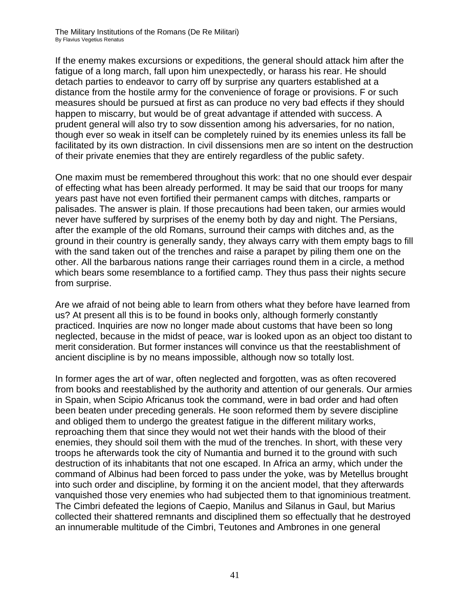The Military Institutions of the Romans (De Re Militari) By Flavius Vegetius Renatus

If the enemy makes excursions or expeditions, the general should attack him after the fatigue of a long march, fall upon him unexpectedly, or harass his rear. He should detach parties to endeavor to carry off by surprise any quarters established at a distance from the hostile army for the convenience of forage or provisions. F or such measures should be pursued at first as can produce no very bad effects if they should happen to miscarry, but would be of great advantage if attended with success. A prudent general will also try to sow dissention among his adversaries, for no nation, though ever so weak in itself can be completely ruined by its enemies unless its fall be facilitated by its own distraction. In civil dissensions men are so intent on the destruction of their private enemies that they are entirely regardless of the public safety.

One maxim must be remembered throughout this work: that no one should ever despair of effecting what has been already performed. It may be said that our troops for many years past have not even fortified their permanent camps with ditches, ramparts or palisades. The answer is plain. If those precautions had been taken, our armies would never have suffered by surprises of the enemy both by day and night. The Persians, after the example of the old Romans, surround their camps with ditches and, as the ground in their country is generally sandy, they always carry with them empty bags to fill with the sand taken out of the trenches and raise a parapet by piling them one on the other. All the barbarous nations range their carriages round them in a circle, a method which bears some resemblance to a fortified camp. They thus pass their nights secure from surprise.

Are we afraid of not being able to learn from others what they before have learned from us? At present all this is to be found in books only, although formerly constantly practiced. Inquiries are now no longer made about customs that have been so long neglected, because in the midst of peace, war is looked upon as an object too distant to merit consideration. But former instances will convince us that the reestablishment of ancient discipline is by no means impossible, although now so totally lost.

In former ages the art of war, often neglected and forgotten, was as often recovered from books and reestablished by the authority and attention of our generals. Our armies in Spain, when Scipio Africanus took the command, were in bad order and had often been beaten under preceding generals. He soon reformed them by severe discipline and obliged them to undergo the greatest fatigue in the different military works, reproaching them that since they would not wet their hands with the blood of their enemies, they should soil them with the mud of the trenches. In short, with these very troops he afterwards took the city of Numantia and burned it to the ground with such destruction of its inhabitants that not one escaped. In Africa an army, which under the command of Albinus had been forced to pass under the yoke, was by Metellus brought into such order and discipline, by forming it on the ancient model, that they afterwards vanquished those very enemies who had subjected them to that ignominious treatment. The Cimbri defeated the legions of Caepio, Manilus and Silanus in Gaul, but Marius collected their shattered remnants and disciplined them so effectually that he destroyed an innumerable multitude of the Cimbri, Teutones and Ambrones in one general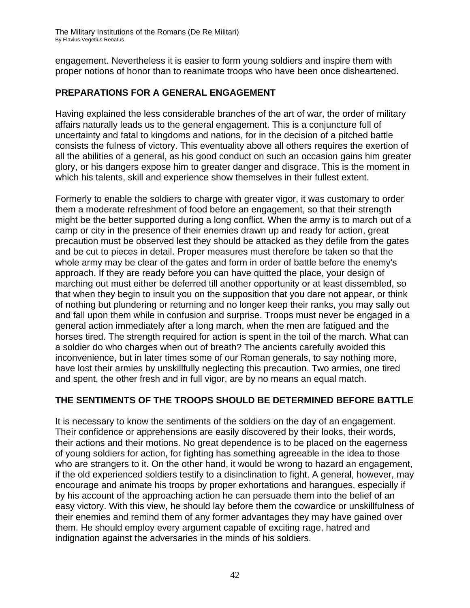engagement. Nevertheless it is easier to form young soldiers and inspire them with proper notions of honor than to reanimate troops who have been once disheartened.

#### **PREPARATIONS FOR A GENERAL ENGAGEMENT**

Having explained the less considerable branches of the art of war, the order of military affairs naturally leads us to the general engagement. This is a conjuncture full of uncertainty and fatal to kingdoms and nations, for in the decision of a pitched battle consists the fulness of victory. This eventuality above all others requires the exertion of all the abilities of a general, as his good conduct on such an occasion gains him greater glory, or his dangers expose him to greater danger and disgrace. This is the moment in which his talents, skill and experience show themselves in their fullest extent.

Formerly to enable the soldiers to charge with greater vigor, it was customary to order them a moderate refreshment of food before an engagement, so that their strength might be the better supported during a long conflict. When the army is to march out of a camp or city in the presence of their enemies drawn up and ready for action, great precaution must be observed lest they should be attacked as they defile from the gates and be cut to pieces in detail. Proper measures must therefore be taken so that the whole army may be clear of the gates and form in order of battle before the enemy's approach. If they are ready before you can have quitted the place, your design of marching out must either be deferred till another opportunity or at least dissembled, so that when they begin to insult you on the supposition that you dare not appear, or think of nothing but plundering or returning and no longer keep their ranks, you may sally out and fall upon them while in confusion and surprise. Troops must never be engaged in a general action immediately after a long march, when the men are fatigued and the horses tired. The strength required for action is spent in the toil of the march. What can a soldier do who charges when out of breath? The ancients carefully avoided this inconvenience, but in later times some of our Roman generals, to say nothing more, have lost their armies by unskillfully neglecting this precaution. Two armies, one tired and spent, the other fresh and in full vigor, are by no means an equal match.

# **THE SENTIMENTS OF THE TROOPS SHOULD BE DETERMINED BEFORE BATTLE**

It is necessary to know the sentiments of the soldiers on the day of an engagement. Their confidence or apprehensions are easily discovered by their looks, their words, their actions and their motions. No great dependence is to be placed on the eagerness of young soldiers for action, for fighting has something agreeable in the idea to those who are strangers to it. On the other hand, it would be wrong to hazard an engagement, if the old experienced soldiers testify to a disinclination to fight. A general, however, may encourage and animate his troops by proper exhortations and harangues, especially if by his account of the approaching action he can persuade them into the belief of an easy victory. With this view, he should lay before them the cowardice or unskillfulness of their enemies and remind them of any former advantages they may have gained over them. He should employ every argument capable of exciting rage, hatred and indignation against the adversaries in the minds of his soldiers.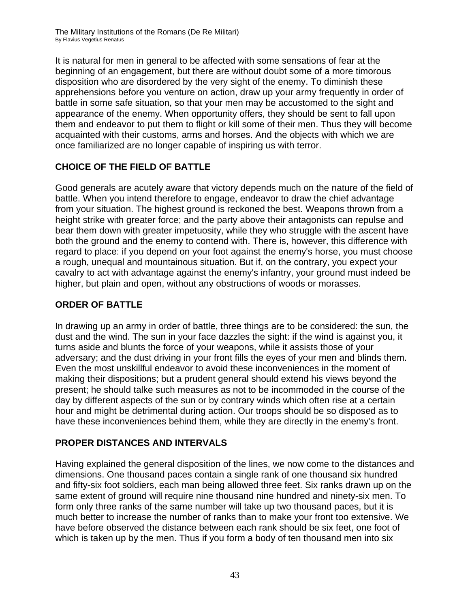It is natural for men in general to be affected with some sensations of fear at the beginning of an engagement, but there are without doubt some of a more timorous disposition who are disordered by the very sight of the enemy. To diminish these apprehensions before you venture on action, draw up your army frequently in order of battle in some safe situation, so that your men may be accustomed to the sight and appearance of the enemy. When opportunity offers, they should be sent to fall upon them and endeavor to put them to flight or kill some of their men. Thus they will become acquainted with their customs, arms and horses. And the objects with which we are once familiarized are no longer capable of inspiring us with terror.

# **CHOICE OF THE FIELD OF BATTLE**

Good generals are acutely aware that victory depends much on the nature of the field of battle. When you intend therefore to engage, endeavor to draw the chief advantage from your situation. The highest ground is reckoned the best. Weapons thrown from a height strike with greater force; and the party above their antagonists can repulse and bear them down with greater impetuosity, while they who struggle with the ascent have both the ground and the enemy to contend with. There is, however, this difference with regard to place: if you depend on your foot against the enemy's horse, you must choose a rough, unequal and mountainous situation. But if, on the contrary, you expect your cavalry to act with advantage against the enemy's infantry, your ground must indeed be higher, but plain and open, without any obstructions of woods or morasses.

# **ORDER OF BATTLE**

In drawing up an army in order of battle, three things are to be considered: the sun, the dust and the wind. The sun in your face dazzles the sight: if the wind is against you, it turns aside and blunts the force of your weapons, while it assists those of your adversary; and the dust driving in your front fills the eyes of your men and blinds them. Even the most unskillful endeavor to avoid these inconveniences in the moment of making their dispositions; but a prudent general should extend his views beyond the present; he should talke such measures as not to be incommoded in the course of the day by different aspects of the sun or by contrary winds which often rise at a certain hour and might be detrimental during action. Our troops should be so disposed as to have these inconveniences behind them, while they are directly in the enemy's front.

#### **PROPER DISTANCES AND INTERVALS**

Having explained the general disposition of the lines, we now come to the distances and dimensions. One thousand paces contain a single rank of one thousand six hundred and fifty-six foot soldiers, each man being allowed three feet. Six ranks drawn up on the same extent of ground will require nine thousand nine hundred and ninety-six men. To form only three ranks of the same number will take up two thousand paces, but it is much better to increase the number of ranks than to make your front too extensive. We have before observed the distance between each rank should be six feet, one foot of which is taken up by the men. Thus if you form a body of ten thousand men into six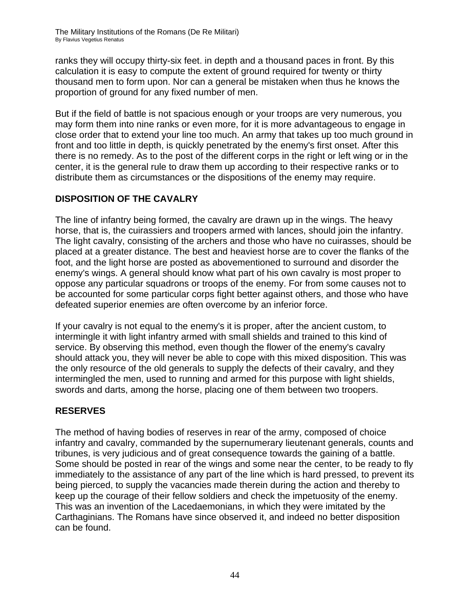ranks they will occupy thirty-six feet. in depth and a thousand paces in front. By this calculation it is easy to compute the extent of ground required for twenty or thirty thousand men to form upon. Nor can a general be mistaken when thus he knows the proportion of ground for any fixed number of men.

But if the field of battle is not spacious enough or your troops are very numerous, you may form them into nine ranks or even more, for it is more advantageous to engage in close order that to extend your line too much. An army that takes up too much ground in front and too little in depth, is quickly penetrated by the enemy's first onset. After this there is no remedy. As to the post of the different corps in the right or left wing or in the center, it is the general rule to draw them up according to their respective ranks or to distribute them as circumstances or the dispositions of the enemy may require.

# **DISPOSITION OF THE CAVALRY**

The line of infantry being formed, the cavalry are drawn up in the wings. The heavy horse, that is, the cuirassiers and troopers armed with lances, should join the infantry. The light cavalry, consisting of the archers and those who have no cuirasses, should be placed at a greater distance. The best and heaviest horse are to cover the flanks of the foot, and the light horse are posted as abovementioned to surround and disorder the enemy's wings. A general should know what part of his own cavalry is most proper to oppose any particular squadrons or troops of the enemy. For from some causes not to be accounted for some particular corps fight better against others, and those who have defeated superior enemies are often overcome by an inferior force.

If your cavalry is not equal to the enemy's it is proper, after the ancient custom, to intermingle it with light infantry armed with small shields and trained to this kind of service. By observing this method, even though the flower of the enemy's cavalry should attack you, they will never be able to cope with this mixed disposition. This was the only resource of the old generals to supply the defects of their cavalry, and they intermingled the men, used to running and armed for this purpose with light shields, swords and darts, among the horse, placing one of them between two troopers.

# **RESERVES**

The method of having bodies of reserves in rear of the army, composed of choice infantry and cavalry, commanded by the supernumerary lieutenant generals, counts and tribunes, is very judicious and of great consequence towards the gaining of a battle. Some should be posted in rear of the wings and some near the center, to be ready to fly immediately to the assistance of any part of the line which is hard pressed, to prevent its being pierced, to supply the vacancies made therein during the action and thereby to keep up the courage of their fellow soldiers and check the impetuosity of the enemy. This was an invention of the Lacedaemonians, in which they were imitated by the Carthaginians. The Romans have since observed it, and indeed no better disposition can be found.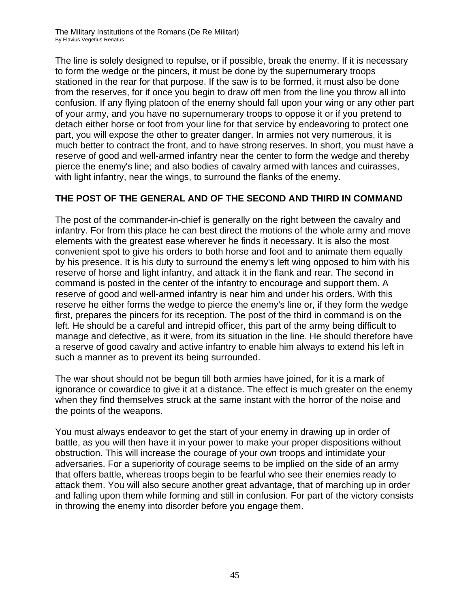The line is solely designed to repulse, or if possible, break the enemy. If it is necessary to form the wedge or the pincers, it must be done by the supernumerary troops stationed in the rear for that purpose. If the saw is to be formed, it must also be done from the reserves, for if once you begin to draw off men from the line you throw all into confusion. If any flying platoon of the enemy should fall upon your wing or any other part of your army, and you have no supernumerary troops to oppose it or if you pretend to detach either horse or foot from your line for that service by endeavoring to protect one part, you will expose the other to greater danger. In armies not very numerous, it is much better to contract the front, and to have strong reserves. In short, you must have a reserve of good and well-armed infantry near the center to form the wedge and thereby pierce the enemy's line; and also bodies of cavalry armed with lances and cuirasses, with light infantry, near the wings, to surround the flanks of the enemy.

#### **THE POST OF THE GENERAL AND OF THE SECOND AND THIRD IN COMMAND**

The post of the commander-in-chief is generally on the right between the cavalry and infantry. For from this place he can best direct the motions of the whole army and move elements with the greatest ease wherever he finds it necessary. It is also the most convenient spot to give his orders to both horse and foot and to animate them equally by his presence. It is his duty to surround the enemy's left wing opposed to him with his reserve of horse and light infantry, and attack it in the flank and rear. The second in command is posted in the center of the infantry to encourage and support them. A reserve of good and well-armed infantry is near him and under his orders. With this reserve he either forms the wedge to pierce the enemy's line or, if they form the wedge first, prepares the pincers for its reception. The post of the third in command is on the left. He should be a careful and intrepid officer, this part of the army being difficult to manage and defective, as it were, from its situation in the line. He should therefore have a reserve of good cavalry and active infantry to enable him always to extend his left in such a manner as to prevent its being surrounded.

The war shout should not be begun till both armies have joined, for it is a mark of ignorance or cowardice to give it at a distance. The effect is much greater on the enemy when they find themselves struck at the same instant with the horror of the noise and the points of the weapons.

You must always endeavor to get the start of your enemy in drawing up in order of battle, as you will then have it in your power to make your proper dispositions without obstruction. This will increase the courage of your own troops and intimidate your adversaries. For a superiority of courage seems to be implied on the side of an army that offers battle, whereas troops begin to be fearful who see their enemies ready to attack them. You will also secure another great advantage, that of marching up in order and falling upon them while forming and still in confusion. For part of the victory consists in throwing the enemy into disorder before you engage them.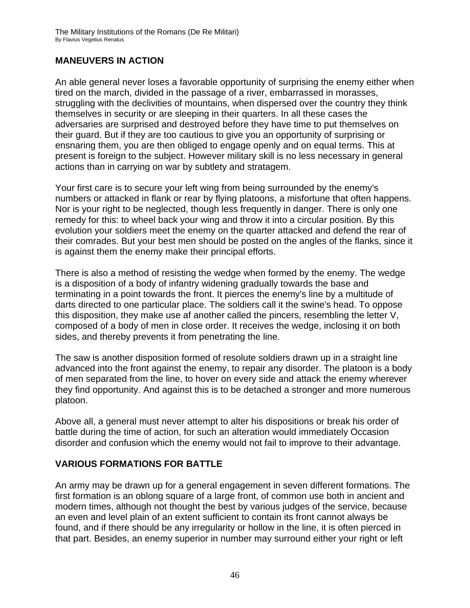#### **MANEUVERS IN ACTION**

An able general never loses a favorable opportunity of surprising the enemy either when tired on the march, divided in the passage of a river, embarrassed in morasses, struggling with the declivities of mountains, when dispersed over the country they think themselves in security or are sleeping in their quarters. In all these cases the adversaries are surprised and destroyed before they have time to put themselves on their guard. But if they are too cautious to give you an opportunity of surprising or ensnaring them, you are then obliged to engage openly and on equal terms. This at present is foreign to the subject. However military skill is no less necessary in general actions than in carrying on war by subtlety and stratagem.

Your first care is to secure your left wing from being surrounded by the enemy's numbers or attacked in flank or rear by flying platoons, a misfortune that often happens. Nor is your right to be neglected, though less frequently in danger. There is only one remedy for this: to wheel back your wing and throw it into a circular position. By this evolution your soldiers meet the enemy on the quarter attacked and defend the rear of their comrades. But your best men should be posted on the angles of the flanks, since it is against them the enemy make their principal efforts.

There is also a method of resisting the wedge when formed by the enemy. The wedge is a disposition of a body of infantry widening gradually towards the base and terminating in a point towards the front. It pierces the enemy's line by a multitude of darts directed to one particular place. The soldiers call it the swine's head. To oppose this disposition, they make use af another called the pincers, resembling the letter V, composed of a body of men in close order. It receives the wedge, inclosing it on both sides, and thereby prevents it from penetrating the line.

The saw is another disposition formed of resolute soldiers drawn up in a straight line advanced into the front against the enemy, to repair any disorder. The platoon is a body of men separated from the line, to hover on every side and attack the enemy wherever they find opportunity. And against this is to be detached a stronger and more numerous platoon.

Above all, a general must never attempt to alter his dispositions or break his order of battle during the time of action, for such an alteration would immediately Occasion disorder and confusion which the enemy would not fail to improve to their advantage.

# **VARIOUS FORMATIONS FOR BATTLE**

An army may be drawn up for a general engagement in seven different formations. The first formation is an oblong square of a large front, of common use both in ancient and modern times, although not thought the best by various judges of the service, because an even and level plain of an extent sufficient to contain its front cannot always be found, and if there should be any irregularity or hollow in the line, it is often pierced in that part. Besides, an enemy superior in number may surround either your right or left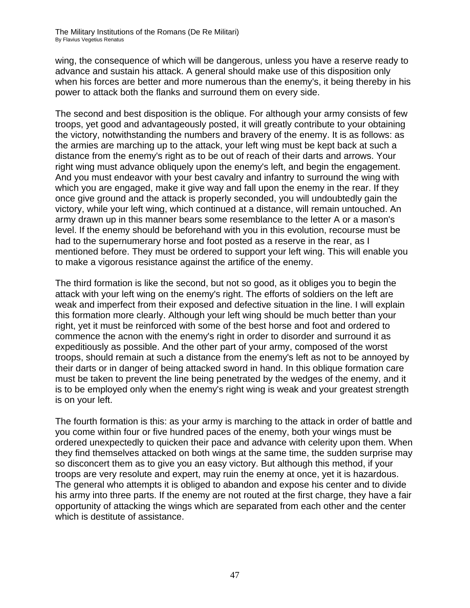wing, the consequence of which will be dangerous, unless you have a reserve ready to advance and sustain his attack. A general should make use of this disposition only when his forces are better and more numerous than the enemy's, it being thereby in his power to attack both the flanks and surround them on every side.

The second and best disposition is the oblique. For although your army consists of few troops, yet good and advantageously posted, it will greatly contribute to your obtaining the victory, notwithstanding the numbers and bravery of the enemy. It is as follows: as the armies are marching up to the attack, your left wing must be kept back at such a distance from the enemy's right as to be out of reach of their darts and arrows. Your right wing must advance obliquely upon the enemy's left, and begin the engagement. And you must endeavor with your best cavalry and infantry to surround the wing with which you are engaged, make it give way and fall upon the enemy in the rear. If they once give ground and the attack is properly seconded, you will undoubtedly gain the victory, while your left wing, which continued at a distance, will remain untouched. An army drawn up in this manner bears some resemblance to the letter A or a mason's level. If the enemy should be beforehand with you in this evolution, recourse must be had to the supernumerary horse and foot posted as a reserve in the rear, as I mentioned before. They must be ordered to support your left wing. This will enable you to make a vigorous resistance against the artifice of the enemy.

The third formation is like the second, but not so good, as it obliges you to begin the attack with your left wing on the enemy's right. The efforts of soldiers on the left are weak and imperfect from their exposed and defective situation in the line. I will explain this formation more clearly. Although your left wing should be much better than your right, yet it must be reinforced with some of the best horse and foot and ordered to commence the acnon with the enemy's right in order to disorder and surround it as expeditiously as possible. And the other part of your army, composed of the worst troops, should remain at such a distance from the enemy's left as not to be annoyed by their darts or in danger of being attacked sword in hand. In this oblique formation care must be taken to prevent the line being penetrated by the wedges of the enemy, and it is to be employed only when the enemy's right wing is weak and your greatest strength is on your left.

The fourth formation is this: as your army is marching to the attack in order of battle and you come within four or five hundred paces of the enemy, both your wings must be ordered unexpectedly to quicken their pace and advance with celerity upon them. When they find themselves attacked on both wings at the same time, the sudden surprise may so disconcert them as to give you an easy victory. But although this method, if your troops are very resolute and expert, may ruin the enemy at once, yet it is hazardous. The general who attempts it is obliged to abandon and expose his center and to divide his army into three parts. If the enemy are not routed at the first charge, they have a fair opportunity of attacking the wings which are separated from each other and the center which is destitute of assistance.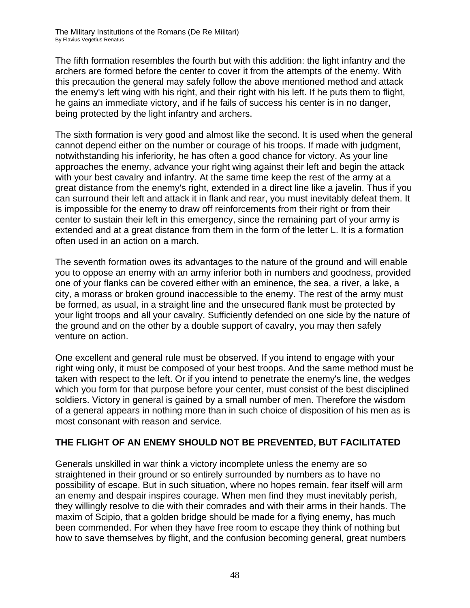The Military Institutions of the Romans (De Re Militari) By Flavius Vegetius Renatus

The fifth formation resembles the fourth but with this addition: the light infantry and the archers are formed before the center to cover it from the attempts of the enemy. With this precaution the general may safely follow the above mentioned method and attack the enemy's left wing with his right, and their right with his left. If he puts them to flight, he gains an immediate victory, and if he fails of success his center is in no danger, being protected by the light infantry and archers.

The sixth formation is very good and almost like the second. It is used when the general cannot depend either on the number or courage of his troops. If made with judgment, notwithstanding his inferiority, he has often a good chance for victory. As your line approaches the enemy, advance your right wing against their left and begin the attack with your best cavalry and infantry. At the same time keep the rest of the army at a great distance from the enemy's right, extended in a direct line like a javelin. Thus if you can surround their left and attack it in flank and rear, you must inevitably defeat them. It is impossible for the enemy to draw off reinforcements from their right or from their center to sustain their left in this emergency, since the remaining part of your army is extended and at a great distance from them in the form of the letter L. It is a formation often used in an action on a march.

The seventh formation owes its advantages to the nature of the ground and will enable you to oppose an enemy with an army inferior both in numbers and goodness, provided one of your flanks can be covered either with an eminence, the sea, a river, a lake, a city, a morass or broken ground inaccessible to the enemy. The rest of the army must be formed, as usual, in a straight line and the unsecured flank must be protected by your light troops and all your cavalry. Sufficiently defended on one side by the nature of the ground and on the other by a double support of cavalry, you may then safely venture on action.

One excellent and general rule must be observed. If you intend to engage with your right wing only, it must be composed of your best troops. And the same method must be taken with respect to the left. Or if you intend to penetrate the enemy's line, the wedges which you form for that purpose before your center, must consist of the best disciplined soldiers. Victory in general is gained by a small number of men. Therefore the wisdom of a general appears in nothing more than in such choice of disposition of his men as is most consonant with reason and service.

#### **THE FLIGHT OF AN ENEMY SHOULD NOT BE PREVENTED, BUT FACILITATED**

Generals unskilled in war think a victory incomplete unless the enemy are so straightened in their ground or so entirely surrounded by numbers as to have no possibility of escape. But in such situation, where no hopes remain, fear itself will arm an enemy and despair inspires courage. When men find they must inevitably perish, they willingly resolve to die with their comrades and with their arms in their hands. The maxim of Scipio, that a golden bridge should be made for a flying enemy, has much been commended. For when they have free room to escape they think of nothing but how to save themselves by flight, and the confusion becoming general, great numbers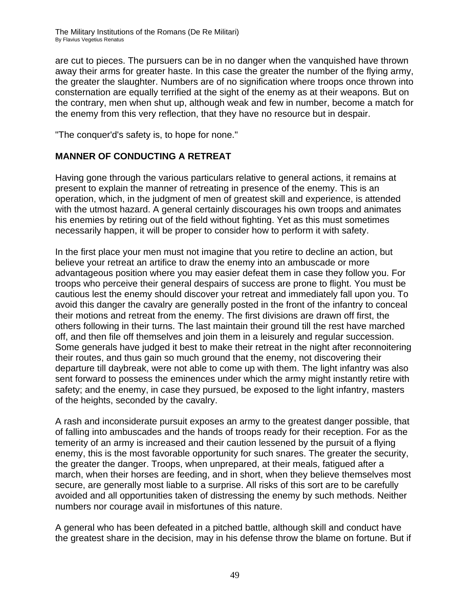are cut to pieces. The pursuers can be in no danger when the vanquished have thrown away their arms for greater haste. In this case the greater the number of the flying army, the greater the slaughter. Numbers are of no signification where troops once thrown into consternation are equally terrified at the sight of the enemy as at their weapons. But on the contrary, men when shut up, although weak and few in number, become a match for the enemy from this very reflection, that they have no resource but in despair.

"The conquer'd's safety is, to hope for none."

# **MANNER OF CONDUCTING A RETREAT**

Having gone through the various particulars relative to general actions, it remains at present to explain the manner of retreating in presence of the enemy. This is an operation, which, in the judgment of men of greatest skill and experience, is attended with the utmost hazard. A general certainly discourages his own troops and animates his enemies by retiring out of the field without fighting. Yet as this must sometimes necessarily happen, it will be proper to consider how to perform it with safety.

In the first place your men must not imagine that you retire to decline an action, but believe your retreat an artifice to draw the enemy into an ambuscade or more advantageous position where you may easier defeat them in case they follow you. For troops who perceive their general despairs of success are prone to flight. You must be cautious lest the enemy should discover your retreat and immediately fall upon you. To avoid this danger the cavalry are generally posted in the front of the infantry to conceal their motions and retreat from the enemy. The first divisions are drawn off first, the others following in their turns. The last maintain their ground till the rest have marched off, and then file off themselves and join them in a leisurely and regular succession. Some generals have judged it best to make their retreat in the night after reconnoitering their routes, and thus gain so much ground that the enemy, not discovering their departure till daybreak, were not able to come up with them. The light infantry was also sent forward to possess the eminences under which the army might instantly retire with safety; and the enemy, in case they pursued, be exposed to the light infantry, masters of the heights, seconded by the cavalry.

A rash and inconsiderate pursuit exposes an army to the greatest danger possible, that of falling into ambuscades and the hands of troops ready for their reception. For as the temerity of an army is increased and their caution lessened by the pursuit of a flying enemy, this is the most favorable opportunity for such snares. The greater the security, the greater the danger. Troops, when unprepared, at their meals, fatigued after a march, when their horses are feeding, and in short, when they believe themselves most secure, are generally most liable to a surprise. All risks of this sort are to be carefully avoided and all opportunities taken of distressing the enemy by such methods. Neither numbers nor courage avail in misfortunes of this nature.

A general who has been defeated in a pitched battle, although skill and conduct have the greatest share in the decision, may in his defense throw the blame on fortune. But if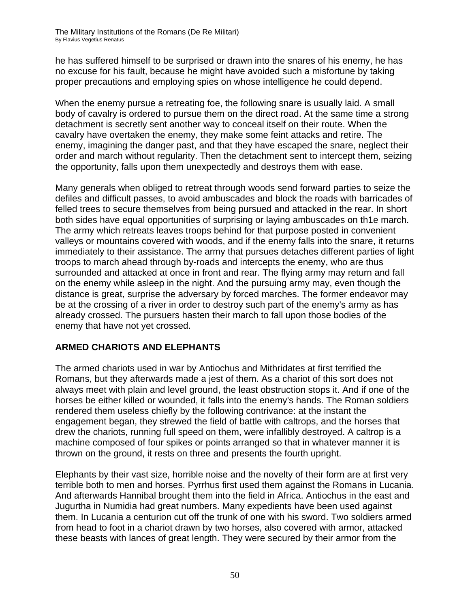he has suffered himself to be surprised or drawn into the snares of his enemy, he has no excuse for his fault, because he might have avoided such a misfortune by taking proper precautions and employing spies on whose intelligence he could depend.

When the enemy pursue a retreating foe, the following snare is usually laid. A small body of cavalry is ordered to pursue them on the direct road. At the same time a strong detachment is secretly sent another way to conceal itself on their route. When the cavalry have overtaken the enemy, they make some feint attacks and retire. The enemy, imagining the danger past, and that they have escaped the snare, neglect their order and march without regularity. Then the detachment sent to intercept them, seizing the opportunity, falls upon them unexpectedly and destroys them with ease.

Many generals when obliged to retreat through woods send forward parties to seize the defiles and difficult passes, to avoid ambuscades and block the roads with barricades of felled trees to secure themselves from being pursued and attacked in the rear. In short both sides have equal opportunities of surprising or laying ambuscades on th1e march. The army which retreats leaves troops behind for that purpose posted in convenient valleys or mountains covered with woods, and if the enemy falls into the snare, it returns immediately to their assistance. The army that pursues detaches different parties of light troops to march ahead through by-roads and intercepts the enemy, who are thus surrounded and attacked at once in front and rear. The flying army may return and fall on the enemy while asleep in the night. And the pursuing army may, even though the distance is great, surprise the adversary by forced marches. The former endeavor may be at the crossing of a river in order to destroy such part of the enemy's army as has already crossed. The pursuers hasten their march to fall upon those bodies of the enemy that have not yet crossed.

# **ARMED CHARIOTS AND ELEPHANTS**

The armed chariots used in war by Antiochus and Mithridates at first terrified the Romans, but they afterwards made a jest of them. As a chariot of this sort does not always meet with plain and level ground, the least obstruction stops it. And if one of the horses be either killed or wounded, it falls into the enemy's hands. The Roman soldiers rendered them useless chiefly by the following contrivance: at the instant the engagement began, they strewed the field of battle with caltrops, and the horses that drew the chariots, running full speed on them, were infallibly destroyed. A caltrop is a machine composed of four spikes or points arranged so that in whatever manner it is thrown on the ground, it rests on three and presents the fourth upright.

Elephants by their vast size, horrible noise and the novelty of their form are at first very terrible both to men and horses. Pyrrhus first used them against the Romans in Lucania. And afterwards Hannibal brought them into the field in Africa. Antiochus in the east and Jugurtha in Numidia had great numbers. Many expedients have been used against them. In Lucania a centurion cut off the trunk of one with his sword. Two soldiers armed from head to foot in a chariot drawn by two horses, also covered with armor, attacked these beasts with lances of great length. They were secured by their armor from the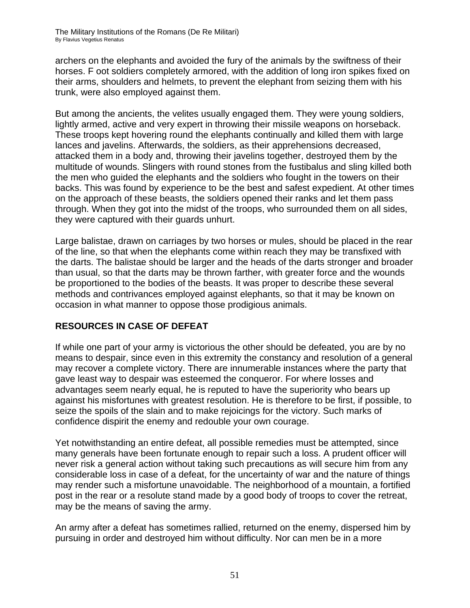archers on the elephants and avoided the fury of the animals by the swiftness of their horses. F oot soldiers completely armored, with the addition of long iron spikes fixed on their arms, shoulders and helmets, to prevent the elephant from seizing them with his trunk, were also employed against them.

But among the ancients, the velites usually engaged them. They were young soldiers, lightly armed, active and very expert in throwing their missile weapons on horseback. These troops kept hovering round the elephants continually and killed them with large lances and javelins. Afterwards, the soldiers, as their apprehensions decreased, attacked them in a body and, throwing their javelins together, destroyed them by the multitude of wounds. Slingers with round stones from the fustibalus and sling killed both the men who guided the elephants and the soldiers who fought in the towers on their backs. This was found by experience to be the best and safest expedient. At other times on the approach of these beasts, the soldiers opened their ranks and let them pass through. When they got into the midst of the troops, who surrounded them on all sides, they were captured with their guards unhurt.

Large balistae, drawn on carriages by two horses or mules, should be placed in the rear of the line, so that when the elephants come within reach they may be transfixed with the darts. The balistae should be larger and the heads of the darts stronger and broader than usual, so that the darts may be thrown farther, with greater force and the wounds be proportioned to the bodies of the beasts. It was proper to describe these several methods and contrivances employed against elephants, so that it may be known on occasion in what manner to oppose those prodigious animals.

# **RESOURCES IN CASE OF DEFEAT**

If while one part of your army is victorious the other should be defeated, you are by no means to despair, since even in this extremity the constancy and resolution of a general may recover a complete victory. There are innumerable instances where the party that gave least way to despair was esteemed the conqueror. For where losses and advantages seem nearly equal, he is reputed to have the superiority who bears up against his misfortunes with greatest resolution. He is therefore to be first, if possible, to seize the spoils of the slain and to make rejoicings for the victory. Such marks of confidence dispirit the enemy and redouble your own courage.

Yet notwithstanding an entire defeat, all possible remedies must be attempted, since many generals have been fortunate enough to repair such a loss. A prudent officer will never risk a general action without taking such precautions as will secure him from any considerable loss in case of a defeat, for the uncertainty of war and the nature of things may render such a misfortune unavoidable. The neighborhood of a mountain, a fortified post in the rear or a resolute stand made by a good body of troops to cover the retreat, may be the means of saving the army.

An army after a defeat has sometimes rallied, returned on the enemy, dispersed him by pursuing in order and destroyed him without difficulty. Nor can men be in a more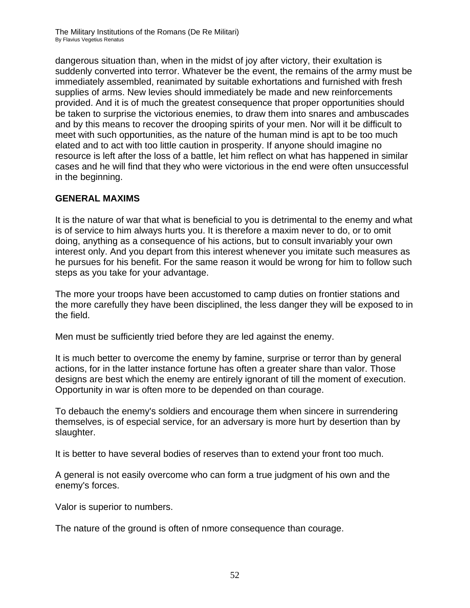dangerous situation than, when in the midst of joy after victory, their exultation is suddenly converted into terror. Whatever be the event, the remains of the army must be immediately assembled, reanimated by suitable exhortations and furnished with fresh supplies of arms. New levies should immediately be made and new reinforcements provided. And it is of much the greatest consequence that proper opportunities should be taken to surprise the victorious enemies, to draw them into snares and ambuscades and by this means to recover the drooping spirits of your men. Nor will it be difficult to meet with such opportunities, as the nature of the human mind is apt to be too much elated and to act with too little caution in prosperity. If anyone should imagine no resource is left after the loss of a battle, let him reflect on what has happened in similar cases and he will find that they who were victorious in the end were often unsuccessful in the beginning.

#### **GENERAL MAXIMS**

It is the nature of war that what is beneficial to you is detrimental to the enemy and what is of service to him always hurts you. It is therefore a maxim never to do, or to omit doing, anything as a consequence of his actions, but to consult invariably your own interest only. And you depart from this interest whenever you imitate such measures as he pursues for his benefit. For the same reason it would be wrong for him to follow such steps as you take for your advantage.

The more your troops have been accustomed to camp duties on frontier stations and the more carefully they have been disciplined, the less danger they will be exposed to in the field.

Men must be sufficiently tried before they are led against the enemy.

It is much better to overcome the enemy by famine, surprise or terror than by general actions, for in the latter instance fortune has often a greater share than valor. Those designs are best which the enemy are entirely ignorant of till the moment of execution. Opportunity in war is often more to be depended on than courage.

To debauch the enemy's soldiers and encourage them when sincere in surrendering themselves, is of especial service, for an adversary is more hurt by desertion than by slaughter.

It is better to have several bodies of reserves than to extend your front too much.

A general is not easily overcome who can form a true judgment of his own and the enemy's forces.

Valor is superior to numbers.

The nature of the ground is often of nmore consequence than courage.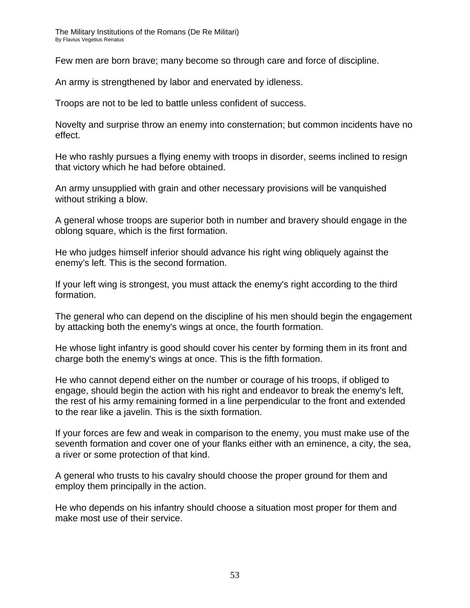Few men are born brave; many become so through care and force of discipline.

An army is strengthened by labor and enervated by idleness.

Troops are not to be led to battle unless confident of success.

Novelty and surprise throw an enemy into consternation; but common incidents have no effect.

He who rashly pursues a flying enemy with troops in disorder, seems inclined to resign that victory which he had before obtained.

An army unsupplied with grain and other necessary provisions will be vanquished without striking a blow.

A general whose troops are superior both in number and bravery should engage in the oblong square, which is the first formation.

He who judges himself inferior should advance his right wing obliquely against the enemy's left. This is the second formation.

If your left wing is strongest, you must attack the enemy's right according to the third formation.

The general who can depend on the discipline of his men should begin the engagement by attacking both the enemy's wings at once, the fourth formation.

He whose light infantry is good should cover his center by forming them in its front and charge both the enemy's wings at once. This is the fifth formation.

He who cannot depend either on the number or courage of his troops, if obliged to engage, should begin the action with his right and endeavor to break the enemy's left, the rest of his army remaining formed in a line perpendicular to the front and extended to the rear like a javelin. This is the sixth formation.

If your forces are few and weak in comparison to the enemy, you must make use of the seventh formation and cover one of your flanks either with an eminence, a city, the sea, a river or some protection of that kind.

A general who trusts to his cavalry should choose the proper ground for them and employ them principally in the action.

He who depends on his infantry should choose a situation most proper for them and make most use of their service.